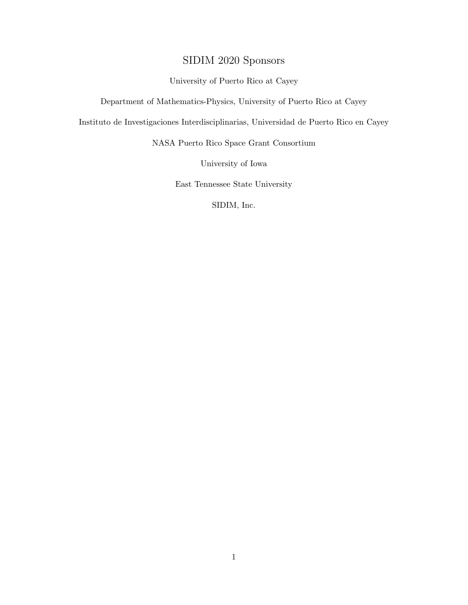# SIDIM 2020 Sponsors

#### University of Puerto Rico at Cayey

Department of Mathematics-Physics, University of Puerto Rico at Cayey

Instituto de Investigaciones Interdisciplinarias, Universidad de Puerto Rico en Cayey

NASA Puerto Rico Space Grant Consortium

University of Iowa

East Tennessee State University

SIDIM, Inc.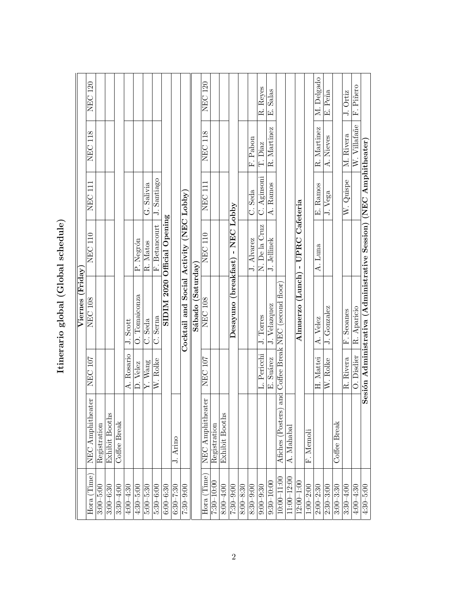| くくくし               |  |
|--------------------|--|
| i<br>l             |  |
| $\frac{1}{2}$<br>ı |  |
| י<br>י<br>י הרי הר |  |

|                    |                  |             | Viernes (Friday                                |                             |                    |                |                |
|--------------------|------------------|-------------|------------------------------------------------|-----------------------------|--------------------|----------------|----------------|
| $\rm{Hora}$ (Time) | NEC Amphitheater | NEC 107     | NEC 108                                        | <b>NEC 110</b>              | NEC 111            | <b>NEC 118</b> | <b>NEC 120</b> |
| $3:00 - 5:00$      | Registration     |             |                                                |                             |                    |                |                |
| $3:00 - 6:30$      | Exhibit Booths   |             |                                                |                             |                    |                |                |
| $3:30 - 4:00$      | Coffee Break     |             |                                                |                             |                    |                |                |
| $4.00 - 4.30$      |                  | A. Rosario  | J. Scott                                       |                             |                    |                |                |
| $4:30 - 5:00$      |                  | D. Velez    | O. Tomaiconza                                  | P. Negrón                   |                    |                |                |
| $5:00 - 5:30$      |                  | Y. Wang     | C. Seda                                        | R. Matos                    | G. Salivia         |                |                |
| $5:30 - 6:00$      |                  | W. Rolke    | C. Serna                                       | F. Betancourt               | J. Santiago        |                |                |
| $6:00 - 6:30$      |                  |             |                                                | SIDIM 2020 Official Opening |                    |                |                |
| $6:30 - 7:30$      | J. Arino         |             |                                                |                             |                    |                |                |
| $7:30 - 9:00$      |                  |             | Cocktail and Social Activity (NEC Lobby)       |                             |                    |                |                |
|                    |                  |             | Sábado (Saturday)                              |                             |                    |                |                |
| $Hora$ (Time)      | NEC Amphitheater | NEC 107     | <b>NEC 108</b>                                 | <b>NEC 110</b>              | NEC 111            | <b>NEC 118</b> | <b>NEC 120</b> |
| $7:30 - 10:00$     | Registration     |             |                                                |                             |                    |                |                |
| $8:00 - 4:00$      | Exhibit Booths   |             |                                                |                             |                    |                |                |
| $7:30 - 9:00$      |                  |             | Desayuno (breakfast) - NEC Lobby               |                             |                    |                |                |
| $8:00 - 8:30$      |                  |             |                                                |                             |                    |                |                |
| $8:30 - 9:00$      |                  |             |                                                | J. Alvarez                  | C. Seda            | F. Pabon       |                |
| $9:00 - 9:30$      |                  | L. Pericchi | J. Torres                                      | N. De la Cruz               | C. Aginsoni        | T. Diaz        | R. Reyes       |
| $9:30 - 10:00$     |                  | E. Suárez   | J. Velazquez                                   | J. Jellinek                 | A. Ramos           | R. Martinez    | E. Salas       |
| $10:00 - 11:00$    | Afiches (Poster: |             | s) and Coffee Break NEC (second floor)         |                             |                    |                |                |
| $11:00 - 12:00$    | A. Mahabal       |             |                                                |                             |                    |                |                |
| $12:00 - 1:00$     |                  |             | Almuerzo (Lunch) - UPRC Cafeteria              |                             |                    |                |                |
| $1:00 - 2:00$      | F. Memoli        |             |                                                |                             |                    |                |                |
| $2:00 - 2:30$      |                  | H. Mattei   | A. Velez                                       | A. Luna                     | E. Ramos           | R. Martinez    | M. Delgado     |
| $2:30 - 3:00$      |                  | W. Rolke    | J. Gonzalez                                    |                             | J. Vega            | A. Nieves      | E. Peña        |
| $3:00 - 3:30$      | Coffee Break     |             |                                                |                             |                    |                |                |
| $3:30 - 4:00$      |                  | R. Rivera   | F. Seoanes                                     |                             | W. Quispe          | M. Rivera      | J. Ortiz       |
| $4:00 - 4:30$      |                  | O. Disdier  | R. Aparicio                                    |                             |                    | W. Villafañe   | F. Piñero      |
| $4:30 - 5:00$      |                  |             | Sesión Administrativa (Administrative Session) |                             | (NEC Amphitheater) |                |                |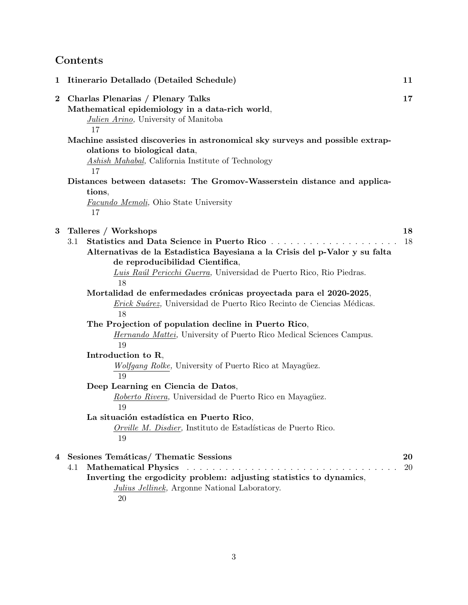# **Contents**

| 1        | Itinerario Detallado (Detailed Schedule)                                                                                                                                                                                                                                                                                                                                                                                                                                                                                                                                                                                                                                                                                                                                                                                                                                                    | 11       |
|----------|---------------------------------------------------------------------------------------------------------------------------------------------------------------------------------------------------------------------------------------------------------------------------------------------------------------------------------------------------------------------------------------------------------------------------------------------------------------------------------------------------------------------------------------------------------------------------------------------------------------------------------------------------------------------------------------------------------------------------------------------------------------------------------------------------------------------------------------------------------------------------------------------|----------|
| $\bf{2}$ | Charlas Plenarias / Plenary Talks<br>Mathematical epidemiology in a data-rich world,<br>Julien Arino, University of Manitoba<br>17                                                                                                                                                                                                                                                                                                                                                                                                                                                                                                                                                                                                                                                                                                                                                          | 17       |
|          | Machine assisted discoveries in astronomical sky surveys and possible extrap-<br>olations to biological data,<br>Ashish Mahabal, California Institute of Technology<br>17                                                                                                                                                                                                                                                                                                                                                                                                                                                                                                                                                                                                                                                                                                                   |          |
|          | Distances between datasets: The Gromov-Wasserstein distance and applica-<br>tions,<br><i>Facundo Memoli</i> , Ohio State University<br>17                                                                                                                                                                                                                                                                                                                                                                                                                                                                                                                                                                                                                                                                                                                                                   |          |
| 3        | Talleres / Workshops<br>Statistics and Data Science in Puerto Rico<br>3.1<br>Alternativas de la Estadistica Bayesiana a la Crisis del p-Valor y su falta<br>de reproducibilidad Cientifica,<br>Luis Raúl Pericchi Guerra, Universidad de Puerto Rico, Rio Piedras.<br>18<br>Mortalidad de enfermedades crónicas proyectada para el 2020-2025,<br>Erick Suárez, Universidad de Puerto Rico Recinto de Ciencias Médicas.<br>18<br>The Projection of population decline in Puerto Rico,<br><i>Hernando Mattei</i> , University of Puerto Rico Medical Sciences Campus.<br>19<br>Introduction to R,<br><i>Wolfgang Rolke</i> , University of Puerto Rico at Mayagüez.<br>19<br>Deep Learning en Ciencia de Datos,<br>Roberto Rivera, Universidad de Puerto Rico en Mayagüez.<br>19<br>La situación estadística en Puerto Rico,<br>Orville M. Disdier, Instituto de Estadísticas de Puerto Rico. | 18<br>18 |
| 4        | 19<br>Sesiones Temáticas/ Thematic Sessions<br><b>Mathematical Physics</b><br>4.1<br>Inverting the ergodicity problem: adjusting statistics to dynamics,<br>Julius Jellinek, Argonne National Laboratory.<br>20                                                                                                                                                                                                                                                                                                                                                                                                                                                                                                                                                                                                                                                                             | 20<br>20 |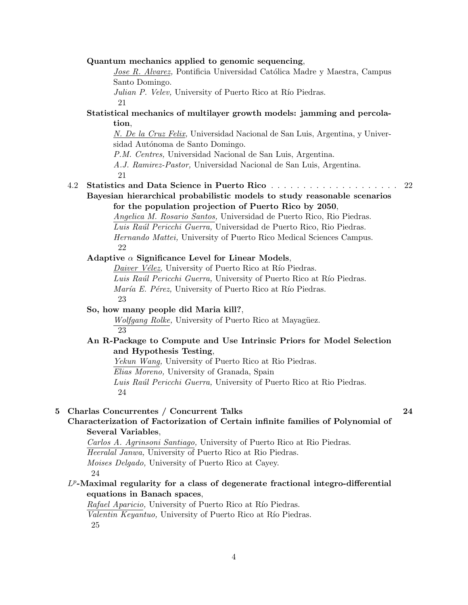#### **Quantum mechanics applied to genomic sequencing**,

*Jose R. Alvarez*, Pontificia Universidad Católica Madre y Maestra, Campus Santo Domingo.

*Julian P. Velev,* University of Puerto Rico at Río Piedras.

21

### **Statistical mechanics of multilayer growth models: jamming and percolation**,

*N. De la Cruz Felix,* Universidad Nacional de San Luis, Argentina, y Universidad Autónoma de Santo Domingo.

*P.M. Centres,* Universidad Nacional de San Luis, Argentina.

*A.J. Ramirez-Pastor,* Universidad Nacional de San Luis, Argentina.

21

#### 4.2 **Statistics and Data Science in Puerto Rico** . . . . . . . . . . . . . . . . . . . . 22

**Bayesian hierarchical probabilistic models to study reasonable scenarios for the population projection of Puerto Rico by 2050**,

> *Angelica M. Rosario Santos,* Universidad de Puerto Rico, Rio Piedras. *Luis Ra´ul Pericchi Guerra,* Universidad de Puerto Rico, Rio Piedras. *Hernando Mattei,* University of Puerto Rico Medical Sciences Campus. 22

#### **Adaptive** *α* **Significance Level for Linear Models**,

*Daiver Vélez,* University of Puerto Rico at Río Piedras. Luis Raúl Pericchi Guerra, University of Puerto Rico at Río Piedras. *María E. Pérez,* University of Puerto Rico at Río Piedras. 23

#### **So, how many people did Maria kill?**,

*Wolfgang Rolke,* University of Puerto Rico at Mayagüez. 23

### **An R-Package to Compute and Use Intrinsic Priors for Model Selection and Hypothesis Testing**,

*Yekun Wang,* University of Puerto Rico at Rio Piedras.

*Elias Moreno,* University of Granada, Spain

*Luis Ra´ul Pericchi Guerra,* University of Puerto Rico at Rio Piedras. 24

#### **5 Charlas Concurrentes / Concurrent Talks 24**

### **Characterization of Factorization of Certain infinite families of Polynomial of Several Variables**,

*Carlos A. Agrinsoni Santiago,* University of Puerto Rico at Rio Piedras. *Heeralal Janwa,* University of Puerto Rico at Rio Piedras.

*Moises Delgado,* University of Puerto Rico at Cayey.

24

### *L p* **-Maximal regularity for a class of degenerate fractional integro-differential equations in Banach spaces**,

*Rafael Aparicio*, University of Puerto Rico at Río Piedras. *Valentin Keyantuo*, University of Puerto Rico at Río Piedras. 25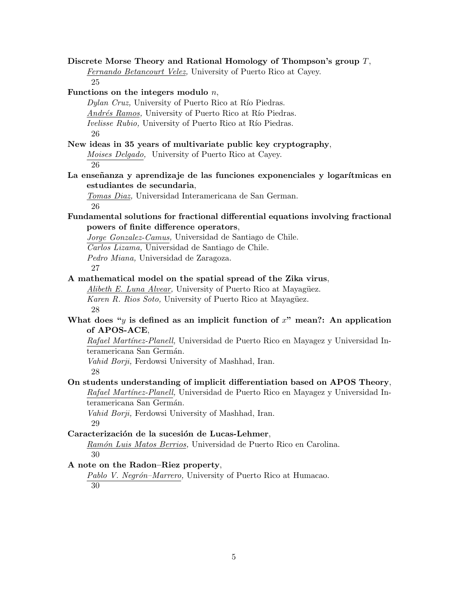**Discrete Morse Theory and Rational Homology of Thompson's group** *T*, *Fernando Betancourt Velez,* University of Puerto Rico at Cayey. 25 **Functions on the integers modulo** *n*, *Dylan Cruz,* University of Puerto Rico at Río Piedras. *Andrés Ramos,* University of Puerto Rico at Río Piedras. *Ivelisse Rubio,* University of Puerto Rico at Río Piedras. 26 **New ideas in 35 years of multivariate public key cryptography**, *Moises Delgado,* University of Puerto Rico at Cayey. 26 La enseñanza y aprendizaje de las funciones exponenciales y logarítmicas en **estudiantes de secundaria**, *Tomas Diaz,* Universidad Interamericana de San German. 26 **Fundamental solutions for fractional differential equations involving fractional powers of finite difference operators**, *Jorge Gonzalez-Camus,* Universidad de Santiago de Chile. *Carlos Lizama,* Universidad de Santiago de Chile. *Pedro Miana,* Universidad de Zaragoza. 27 **A mathematical model on the spatial spread of the Zika virus**, *Alibeth E. Luna Alvear,* University of Puerto Rico at Mayagüez. *Karen R. Rios Soto,* University of Puerto Rico at Mayagüez. 28 What does "*y* is defined as an implicit function of  $x$ " mean?: An application **of APOS-ACE**, *Rafael Mart´ınez-Planell,* Universidad de Puerto Rico en Mayagez y Universidad Interamericana San Germán. *Vahid Borji,* Ferdowsi University of Mashhad, Iran. 28 **On students understanding of implicit differentiation based on APOS Theory**, *Rafael Mart´ınez-Planell,* Universidad de Puerto Rico en Mayagez y Universidad Interamericana San Germán. *Vahid Borji,* Ferdowsi University of Mashhad, Iran. 29 Caracterización de la sucesión de Lucas-Lehmer, *Ram´on Luis Matos Berrios,* Universidad de Puerto Rico en Carolina. 30 **A note on the Radon–Riez property**, Pablo V. Negrón–Marrero, University of Puerto Rico at Humacao. 30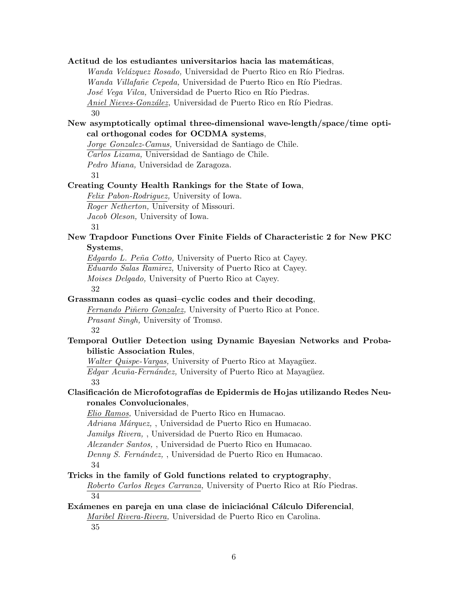## **Actitud de los estudiantes universitarios hacia las matem´aticas**, *Wanda Velázquez Rosado, Universidad de Puerto Rico en Río Piedras. Wanda Villafañe Cepeda,* Universidad de Puerto Rico en Río Piedras. *José Vega Vilca*, Universidad de Puerto Rico en Río Piedras. *Aniel Nieves-González,* Universidad de Puerto Rico en Río Piedras. 30

### **New asymptotically optimal three-dimensional wave-length/space/time optical orthogonal codes for OCDMA systems**,

*Jorge Gonzalez-Camus,* Universidad de Santiago de Chile.

*Carlos Lizama,* Universidad de Santiago de Chile.

*Pedro Miana,* Universidad de Zaragoza.

31

### **Creating County Health Rankings for the State of Iowa**,

*Felix Pabon-Rodriguez,* University of Iowa. *Roger Netherton,* University of Missouri. *Jacob Oleson,* University of Iowa.

31

### **New Trapdoor Functions Over Finite Fields of Characteristic 2 for New PKC Systems**,

*Edgardo L. Pe˜na Cotto,* University of Puerto Rico at Cayey. *Eduardo Salas Ramirez,* University of Puerto Rico at Cayey. *Moises Delgado,* University of Puerto Rico at Cayey. 32

### **Grassmann codes as quasi–cyclic codes and their decoding**,

*Fernando Piñero Gonzalez,* University of Puerto Rico at Ponce. *Prasant Singh,* University of Tromsø. 32

### **Temporal Outlier Detection using Dynamic Bayesian Networks and Probabilistic Association Rules**,

*Walter Quispe-Vargas,* University of Puerto Rico at Mayagüez. *Edgar Acuña-Fernández,* University of Puerto Rico at Mayagüez. 33

### **Clasificaci´on de Microfotograf´ıas de Epidermis de Hojas utilizando Redes Neuronales Convolucionales**,

*Elio Ramos,* Universidad de Puerto Rico en Humacao.

*Adriana M´arquez,* , Universidad de Puerto Rico en Humacao.

*Jamilys Rivera,* , Universidad de Puerto Rico en Humacao.

*Alexander Santos,* , Universidad de Puerto Rico en Humacao.

*Denny S. Fern´andez,* , Universidad de Puerto Rico en Humacao.

34

### **Tricks in the family of Gold functions related to cryptography**,

*Roberto Carlos Reyes Carranza,* University of Puerto Rico at Río Piedras. 34

### Exámenes en pareja en una clase de iniciaciónal Cálculo Diferencial, *Maribel Rivera-Rivera,* Universidad de Puerto Rico en Carolina. 35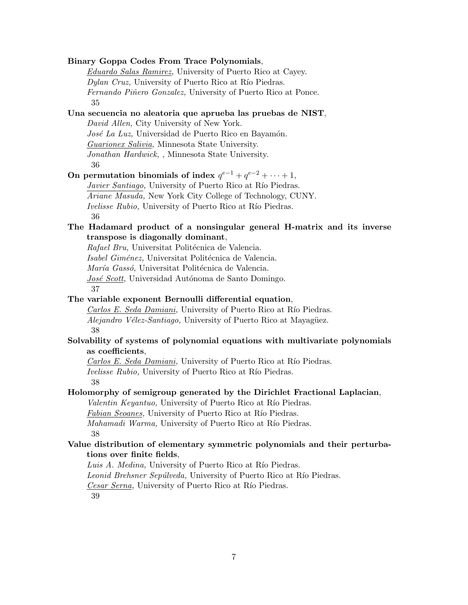| Binary Goppa Codes From Trace Polynomials,                                   |
|------------------------------------------------------------------------------|
| <i>Eduardo Salas Ramirez</i> , University of Puerto Rico at Cayey.           |
| <i>Dylan Cruz</i> , University of Puerto Rico at Río Piedras.                |
| Fernando Piñero Gonzalez, University of Puerto Rico at Ponce.                |
| 35                                                                           |
| Una secuencia no aleatoria que aprueba las pruebas de NIST,                  |
| David Allen, City University of New York.                                    |
| José La Luz, Universidad de Puerto Rico en Bayamón.                          |
| <i>Guarionex Salivia</i> , Minnesota State University.                       |
| Jonathan Hardwick, , Minnesota State University.                             |
| 36                                                                           |
| On permutation binomials of index $q^{e-1} + q^{e-2} + \cdots + 1$ ,         |
| <i>Javier Santiago</i> , University of Puerto Rico at Río Piedras.           |
| <i>Ariane Masuda</i> , New York City College of Technology, CUNY.            |
| <i>Ivelisse Rubio</i> , University of Puerto Rico at Río Piedras.            |
| 36                                                                           |
| The Hadamard product of a nonsingular general H-matrix and its inverse       |
| transpose is diagonally dominant,                                            |
| Rafael Bru, Universitat Politécnica de Valencia.                             |
| Isabel Giménez, Universitat Politécnica de Valencia.                         |
| <i>María Gassó</i> , Universitat Politécnica de Valencia.                    |
| José Scott, Universidad Autónoma de Santo Domingo.                           |
| 37                                                                           |
| The variable exponent Bernoulli differential equation,                       |
| <i>Carlos E. Seda Damiani</i> , University of Puerto Rico at Río Piedras.    |
| Alejandro Vélez-Santiago, University of Puerto Rico at Mayagüez.             |
| 38                                                                           |
| Solvability of systems of polynomial equations with multivariate polynomials |
| as coefficients,                                                             |
| Carlos E. Seda Damiani, University of Puerto Rico at Río Piedras.            |
| <i>Ivelisse Rubio</i> , University of Puerto Rico at Río Piedras.            |
| 38                                                                           |
| Holomorphy of semigroup generated by the Dirichlet Fractional Laplacian,     |
| Valentin Keyantuo, University of Puerto Rico at Río Piedras.                 |
| <i>Fabian Seoanes</i> , University of Puerto Rico at Río Piedras.            |
| Mahamadi Warma, University of Puerto Rico at Río Piedras.                    |
| 38                                                                           |
| Value distribution of elementary symmetric polynomials and their perturba-   |
| tions over finite fields,                                                    |
| Luis A. Medina, University of Puerto Rico at Río Piedras.                    |
| Leonid Brehsner Sepúlveda, University of Puerto Rico at Río Piedras.         |
| Cesar Serna, University of Puerto Rico at Río Piedras.                       |
| 39                                                                           |
|                                                                              |
|                                                                              |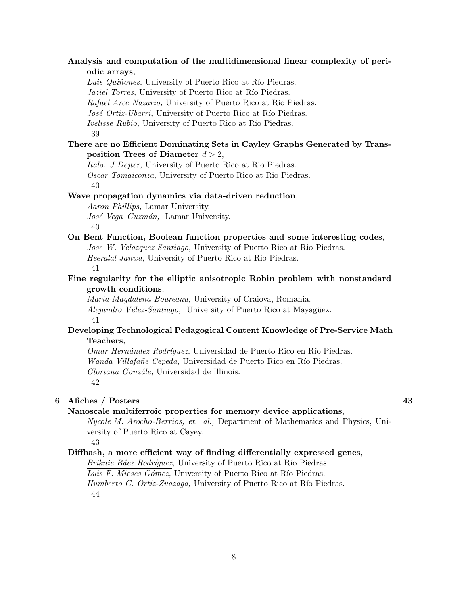**Analysis and computation of the multidimensional linear complexity of periodic arrays**,

*Luis Quiñones,* University of Puerto Rico at Río Piedras. *Jaziel Torres*, University of Puerto Rico at Río Piedras. *Rafael Arce Nazario,* University of Puerto Rico at Río Piedras. *José Ortiz-Ubarri*, University of Puerto Rico at Río Piedras. *Ivelisse Rubio,* University of Puerto Rico at Río Piedras. 39

#### **There are no Efficient Dominating Sets in Cayley Graphs Generated by Transposition Trees of Diameter** *d >* 2,

*Italo. J Dejter,* University of Puerto Rico at Rio Piedras. *Oscar Tomaiconza,* University of Puerto Rico at Rio Piedras. 40

#### **Wave propagation dynamics via data-driven reduction**,

*Aaron Phillips,* Lamar University. *Jos´e Vega–Guzm´an,* Lamar University. 40

#### **On Bent Function, Boolean function properties and some interesting codes**, *Jose W. Velazquez Santiago,* University of Puerto Rico at Rio Piedras.

*Heeralal Janwa,* University of Puerto Rico at Rio Piedras. 41

### **Fine regularity for the elliptic anisotropic Robin problem with nonstandard growth conditions**,

*Maria-Magdalena Boureanu,* University of Craiova, Romania. *Alejandro Vélez-Santiago,* University of Puerto Rico at Mayagüez. 41

### **Developing Technological Pedagogical Content Knowledge of Pre-Service Math Teachers**,

*Omar Hern´andez Rodr´ıguez,* Universidad de Puerto Rico en R´ıo Piedras. *Wanda Villafañe Cepeda, Universidad de Puerto Rico en Río Piedras. Gloriana Gonz´ale,* Universidad de Illinois. 42

#### **6 Afiches / Posters 43**

**Nanoscale multiferroic properties for memory device applications**,

*Nycole M. Arocho-Berrios, et. al.,* Department of Mathematics and Physics, University of Puerto Rico at Cayey.

43

### **Diffhash, a more efficient way of finding differentially expressed genes**,

*Briknie Báez Rodríquez*, University of Puerto Rico at Río Piedras. *Luis F. Mieses Gómez,* University of Puerto Rico at Río Piedras. *Humberto G. Ortiz-Zuazaga*, University of Puerto Rico at Río Piedras. 44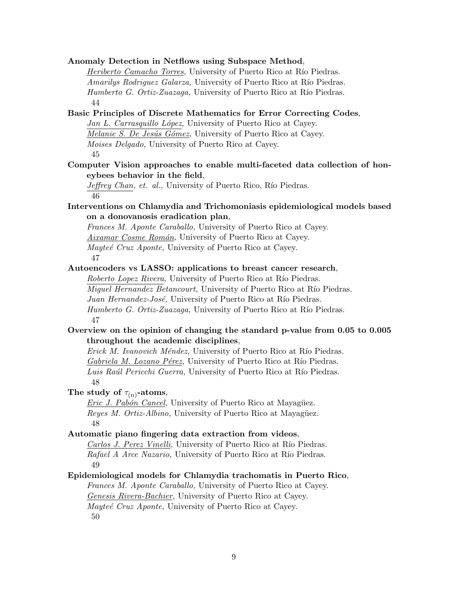**Anomaly Detection in Netflows using Subspace Method**, *Heriberto Camacho Torres,* University of Puerto Rico at Río Piedras. *Amarilys Rodriguez Galarza,* University of Puerto Rico at Río Piedras. *Humberto G. Ortiz-Zuazaga*, University of Puerto Rico at Río Piedras. 44 **Basic Principles of Discrete Mathematics for Error Correcting Codes**, *Jan L. Carrasquillo L´opez,* University of Puerto Rico at Cayey. *Melanie S. De Jesús Gómez,* University of Puerto Rico at Cayey. *Moises Delgado,* University of Puerto Rico at Cayey. 45 **Computer Vision approaches to enable multi-faceted data collection of honeybees behavior in the field**, *Jeffrey Chan, et. al.,* University of Puerto Rico, Río Piedras. 46 **Interventions on Chlamydia and Trichomoniasis epidemiological models based on a donovanosis eradication plan**, *Frances M. Aponte Caraballo,* University of Puerto Rico at Cayey. *Aixamar Cosme Rom´an,* University of Puerto Rico at Cayey. *Mayteé Cruz Aponte,* University of Puerto Rico at Cayey. 47 **Autoencoders vs LASSO: applications to breast cancer research**, *Roberto Lopez Rivera,* University of Puerto Rico at Río Piedras. *Miguel Hernandez Betancourt,* University of Puerto Rico at Río Piedras. *Juan Hernandez-José*, University of Puerto Rico at Río Piedras. *Humberto G. Ortiz-Zuazaga*, University of Puerto Rico at Río Piedras. 47 **Overview on the opinion of changing the standard p-value from 0.05 to 0.005 throughout the academic disciplines**, *Erick M. Ivanovich Méndez,* University of Puerto Rico at Río Piedras. *Gabriela M. Lozano Pérez,* University of Puerto Rico at Río Piedras. *Luis Raúl Pericchi Guerra, University of Puerto Rico at Río Piedras.* 48 The study of  $\tau_{(n)}$ -atoms, *Eric J. Pabón Cancel*, University of Puerto Rico at Mayagüez. *Reyes M. Ortiz-Albino,* University of Puerto Rico at Mayagüez. 48 **Automatic piano fingering data extraction from videos**, *Carlos J. Perez Vinelli,* University of Puerto Rico at Río Piedras. *Rafael A Arce Nazario,* University of Puerto Rico at Río Piedras. 49 **Epidemiological models for Chlamydia trachomatis in Puerto Rico**, *Frances M. Aponte Caraballo,* University of Puerto Rico at Cayey. *Genesis Rivera-Bachier,* University of Puerto Rico at Cayey. *Mayte´e Cruz Aponte,* University of Puerto Rico at Cayey. 50 9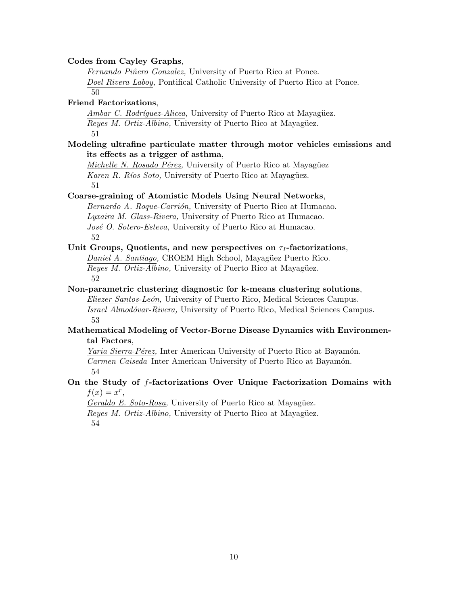#### **Codes from Cayley Graphs**,

*Fernando Piñero Gonzalez,* University of Puerto Rico at Ponce. *Doel Rivera Laboy,* Pontifical Catholic University of Puerto Rico at Ponce.

50

#### **Friend Factorizations**,

*Ambar C. Rodríguez-Alicea*, University of Puerto Rico at Mayagüez. *Reyes M. Ortiz-Albino,* University of Puerto Rico at Mayagüez. 51

#### **Modeling ultrafine particulate matter through motor vehicles emissions and its effects as a trigger of asthma**,

*Michelle N. Rosado Pérez,* University of Puerto Rico at Mayagüez *Karen R. Ríos Soto,* University of Puerto Rico at Mayagüez. 51

#### **Coarse-graining of Atomistic Models Using Neural Networks**,

*Bernardo A. Roque-Carrión, University of Puerto Rico at Humacao. Lyxaira M. Glass-Rivera,* University of Puerto Rico at Humacao. *Jos´e O. Sotero-Esteva,* University of Puerto Rico at Humacao. 52

#### **Unit Groups, Quotients, and new perspectives on** *τ<sup>I</sup>* **-factorizations**,

*Daniel A. Santiago,* CROEM High School, Mayagüez Puerto Rico. *Reyes M. Ortiz-Albino,* University of Puerto Rico at Mayagüez. 52

**Non-parametric clustering diagnostic for k-means clustering solutions**, *Eliezer Santos-Le´on,* University of Puerto Rico, Medical Sciences Campus. *Israel Almod´ovar-Rivera,* University of Puerto Rico, Medical Sciences Campus. 53

#### **Mathematical Modeling of Vector-Borne Disease Dynamics with Environmental Factors**,

*Yaria Sierra-Pérez*, Inter American University of Puerto Rico at Bayamón. *Carmen Caiseda* Inter American University of Puerto Rico at Bayamón. 54

### **On the Study of** *f***-factorizations Over Unique Factorization Domains with**  $f(x) = x^r$

*Geraldo E. Soto-Rosa*, University of Puerto Rico at Mayagüez. *Reyes M. Ortiz-Albino,* University of Puerto Rico at Mayagüez. 54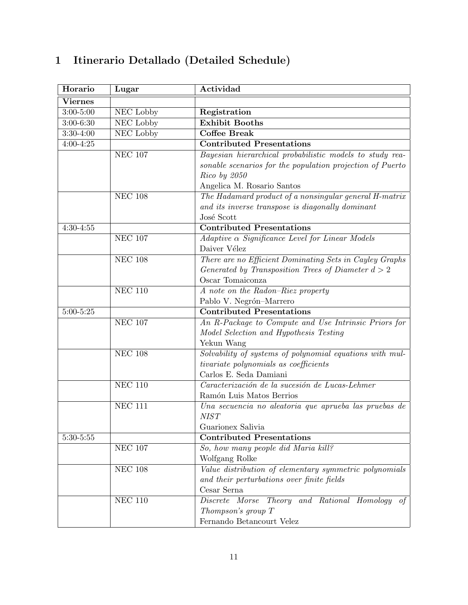| Horario        | Lugar                       | Actividad                                                 |
|----------------|-----------------------------|-----------------------------------------------------------|
| <b>Viernes</b> |                             |                                                           |
| $3:00 - 5:00$  | NEC Lobby                   | Registration                                              |
| $3:00-6:30$    | NEC Lobby                   | <b>Exhibit Booths</b>                                     |
| $3:30-4:00$    | NEC Lobby                   | <b>Coffee Break</b>                                       |
| $4:00 - 4:25$  |                             | <b>Contributed Presentations</b>                          |
|                | <b>NEC 107</b>              | Bayesian hierarchical probabilistic models to study rea-  |
|                |                             | sonable scenarios for the population projection of Puerto |
|                |                             | $Rico$ by $2050$                                          |
|                |                             | Angelica M. Rosario Santos                                |
|                | <b>NEC 108</b>              | The Hadamard product of a nonsingular general H-matrix    |
|                |                             | and its inverse transpose is diagonally dominant          |
|                |                             | José Scott                                                |
| $4:30-4:55$    |                             | <b>Contributed Presentations</b>                          |
|                | <b>NEC 107</b>              | $Adaptive \alpha$ Significance Level for Linear Models    |
|                |                             | Daiver Vélez                                              |
|                | <b>NEC 108</b>              | There are no Efficient Dominating Sets in Cayley Graphs   |
|                |                             | Generated by Transposition Trees of Diameter $d > 2$      |
|                |                             | Oscar Tomaiconza                                          |
|                | <b>NEC 110</b>              | A note on the Radon-Riez property                         |
|                |                             | Pablo V. Negrón-Marrero                                   |
| $5:00 - 5:25$  |                             | <b>Contributed Presentations</b>                          |
|                | <b>NEC 107</b>              | An R-Package to Compute and Use Intrinsic Priors for      |
|                |                             | Model Selection and Hypothesis Testing                    |
|                |                             | Yekun Wang                                                |
|                | <b>NEC 108</b>              | Solvability of systems of polynomial equations with mul-  |
|                |                             | tivariate polynomials as coefficients                     |
|                |                             | Carlos E. Seda Damiani                                    |
|                | <b>NEC 110</b>              | Caracterización de la sucesión de Lucas-Lehmer            |
|                |                             | Ramón Luis Matos Berrios                                  |
|                | <b>NEC 111</b>              | Una secuencia no aleatoria que aprueba las pruebas de     |
|                |                             | <b>NIST</b>                                               |
|                |                             | Guarionex Salivia                                         |
| $5:30-5:55$    |                             | <b>Contributed Presentations</b>                          |
|                | <b>NEC 107</b>              | So, how many people did Maria kill?                       |
|                |                             | Wolfgang Rolke                                            |
|                | $\overline{\text{NEC}}$ 108 | Value distribution of elementary symmetric polynomials    |
|                |                             | and their perturbations over finite fields                |
|                |                             | Cesar Serna                                               |
|                | <b>NEC 110</b>              | Discrete Morse Theory and Rational Homology of            |
|                |                             | Thompson's group T                                        |
|                |                             | Fernando Betancourt Velez                                 |

# **1 Itinerario Detallado (Detailed Schedule)**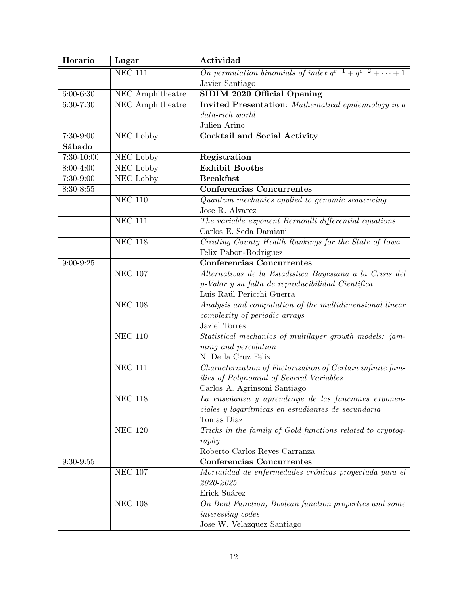| Horario       | Lugar                                | Actividad                                                          |
|---------------|--------------------------------------|--------------------------------------------------------------------|
|               | $NEC$ 111                            | On permutation binomials of index $q^{e-1} + q^{e-2} + \cdots + 1$ |
|               |                                      | Javier Santiago                                                    |
| $6:00 - 6:30$ | $\overline{\text{NEC}}$ Amphitheatre | SIDIM 2020 Official Opening                                        |
| $6:30 - 7:30$ | NEC Amphitheatre                     | <b>Invited Presentation:</b> Mathematical epidemiology in a        |
|               |                                      | $data$ -rich world                                                 |
|               |                                      | Julien Arino                                                       |
| $7:30-9:00$   | NEC Lobby                            | Cocktail and Social Activity                                       |
| Sábado        |                                      |                                                                    |
| $7:30-10:00$  | NEC Lobby                            | Registration                                                       |
| 8:00-4:00     | NEC Lobby                            | <b>Exhibit Booths</b>                                              |
| $7:30-9:00$   | NEC Lobby                            | <b>Breakfast</b>                                                   |
| $8:30 - 8:55$ |                                      | Conferencias Concurrentes                                          |
|               | <b>NEC 110</b>                       | Quantum mechanics applied to genomic sequencing                    |
|               |                                      | Jose R. Alvarez                                                    |
|               | <b>NEC 111</b>                       | The variable exponent Bernoulli differential equations             |
|               |                                      | Carlos E. Seda Damiani                                             |
|               | <b>NEC 118</b>                       | Creating County Health Rankings for the State of Iowa              |
|               |                                      | Felix Pabon-Rodriguez                                              |
| $9:00 - 9:25$ |                                      | Conferencias Concurrentes                                          |
|               | <b>NEC 107</b>                       | Alternativas de la Estadística Bayesiana a la Crisis del           |
|               |                                      | p-Valor y su falta de reproducibilidad Científica                  |
|               |                                      | Luis Raúl Pericchi Guerra                                          |
|               | <b>NEC 108</b>                       | Analysis and computation of the multidimensional linear            |
|               |                                      | complexity of periodic arrays                                      |
|               |                                      | Jaziel Torres                                                      |
|               | <b>NEC 110</b>                       | Statistical mechanics of multilayer growth models: jam-            |
|               |                                      | ming and percolation                                               |
|               |                                      | N. De la Cruz Felix                                                |
|               | <b>NEC 111</b>                       | Characterization of Factorization of Certain infinite fam-         |
|               |                                      | ilies of Polynomial of Several Variables                           |
|               |                                      | Carlos A. Agrinsoni Santiago                                       |
|               | <b>NEC 118</b>                       | La enseñanza y aprendizaje de las funciones exponen-               |
|               |                                      | ciales y logarítmicas en estudiantes de secundaria                 |
|               |                                      | Tomas Diaz                                                         |
|               | NEC $120$                            | Tricks in the family of Gold functions related to cryptog-         |
|               |                                      | raphy                                                              |
|               |                                      | Roberto Carlos Reyes Carranza                                      |
| $9:30-9:55$   |                                      | <b>Conferencias Concurrentes</b>                                   |
|               | $\rm{NEC}$ 107                       | Mortalidad de enfermedades crónicas proyectada para el             |
|               |                                      | 2020-2025                                                          |
|               |                                      | Erick Suárez                                                       |
|               | $\rm{NEC}$ 108                       | On Bent Function, Boolean function properties and some             |
|               |                                      | interesting codes                                                  |
|               |                                      | Jose W. Velazquez Santiago                                         |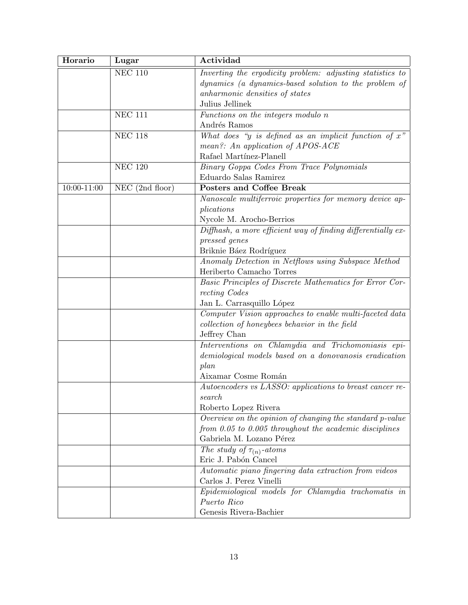| Horario         | Lugar             | Actividad                                                                      |
|-----------------|-------------------|--------------------------------------------------------------------------------|
|                 | <b>NEC 110</b>    | Inverting the ergodicity problem: adjusting statistics to                      |
|                 |                   | dynamics (a dynamics-based solution to the problem of                          |
|                 |                   | anharmonic densities of states                                                 |
|                 |                   | Julius Jellinek                                                                |
|                 | <b>NEC 111</b>    | Functions on the integers modulo n                                             |
|                 |                   | Andrés Ramos                                                                   |
|                 | <b>NEC 118</b>    | What does "y is defined as an implicit function of $x$ "                       |
|                 |                   | mean?: An application of APOS-ACE                                              |
|                 |                   | Rafael Martínez-Planell                                                        |
|                 | <b>NEC 120</b>    | Binary Goppa Codes From Trace Polynomials                                      |
|                 |                   | Eduardo Salas Ramirez                                                          |
| $10:00 - 11:00$ | $NEC$ (2nd floor) | Posters and Coffee Break                                                       |
|                 |                   | Nanoscale multiferroic properties for memory device ap-                        |
|                 |                   | plications                                                                     |
|                 |                   | Nycole M. Arocho-Berrios                                                       |
|                 |                   | Diffhash, a more efficient way of finding differentially ex-                   |
|                 |                   | pressed genes                                                                  |
|                 |                   | Briknie Báez Rodríguez                                                         |
|                 |                   | Anomaly Detection in Netflows using Subspace Method                            |
|                 |                   | Heriberto Camacho Torres                                                       |
|                 |                   | Basic Principles of Discrete Mathematics for Error Cor-                        |
|                 |                   | recting Codes                                                                  |
|                 |                   | Jan L. Carrasquillo López                                                      |
|                 |                   | Computer Vision approaches to enable multi-faceted data                        |
|                 |                   | collection of honeybees behavior in the field                                  |
|                 |                   | Jeffrey Chan                                                                   |
|                 |                   | Interventions on Chlamydia and Trichomoniasis epi-                             |
|                 |                   | demiological models based on a donovanosis eradication                         |
|                 |                   | plan                                                                           |
|                 |                   | Aixamar Cosme Román                                                            |
|                 |                   | Autoencoders vs LASSO: applications to breast cancer re-                       |
|                 |                   | search                                                                         |
|                 |                   | Roberto Lopez Rivera                                                           |
|                 |                   | Overview on the opinion of changing the standard p-value                       |
|                 |                   | from $0.05$ to $0.005$ throughout the academic disciplines                     |
|                 |                   | Gabriela M. Lozano Pérez                                                       |
|                 |                   | The study of $\tau_{(n)}$ -atoms<br>Eric J. Pabón Cancel                       |
|                 |                   |                                                                                |
|                 |                   | Automatic piano fingering data extraction from videos                          |
|                 |                   | Carlos J. Perez Vinelli<br>Epidemiological models for Chlamydia trachomatis in |
|                 |                   | Puerto Rico                                                                    |
|                 |                   |                                                                                |
|                 |                   | Genesis Rivera-Bachier                                                         |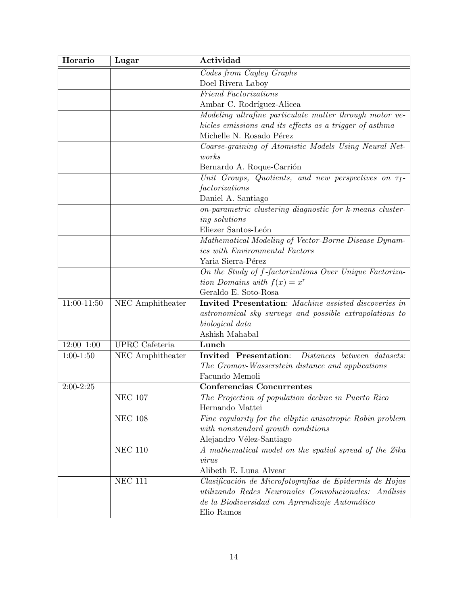| Horario         | Lugar                 | Actividad                                                                                                        |
|-----------------|-----------------------|------------------------------------------------------------------------------------------------------------------|
|                 |                       | Codes from Cayley Graphs                                                                                         |
|                 |                       | Doel Rivera Laboy                                                                                                |
|                 |                       | <b>Friend Factorizations</b>                                                                                     |
|                 |                       | Ambar C. Rodríguez-Alicea                                                                                        |
|                 |                       | Modeling ultrafine particulate matter through motor ve-                                                          |
|                 |                       | hicles emissions and its effects as a trigger of asthma                                                          |
|                 |                       | Michelle N. Rosado Pérez                                                                                         |
|                 |                       | Coarse-graining of Atomistic Models Using Neural Net-                                                            |
|                 |                       | works                                                                                                            |
|                 |                       | Bernardo A. Roque-Carrión                                                                                        |
|                 |                       | Unit Groups, Quotients, and new perspectives on $\tau_I$ -                                                       |
|                 |                       | factorizations                                                                                                   |
|                 |                       | Daniel A. Santiago                                                                                               |
|                 |                       | on-parametric clustering diagnostic for k-means cluster-                                                         |
|                 |                       | ing solutions                                                                                                    |
|                 |                       | Eliezer Santos-León                                                                                              |
|                 |                       | Mathematical Modeling of Vector-Borne Disease Dynam-                                                             |
|                 |                       | <i>ics</i> with <i>Environmental Factors</i>                                                                     |
|                 |                       | Yaria Sierra-Pérez                                                                                               |
|                 |                       | On the Study of f-factorizations Over Unique Factoriza-                                                          |
|                 |                       | tion Domains with $f(x) = x^r$                                                                                   |
|                 |                       | Geraldo E. Soto-Rosa                                                                                             |
| $11:00 - 11:50$ | NEC Amphitheater      | <b>Invited Presentation:</b> Machine assisted discoveries in                                                     |
|                 |                       | astronomical sky surveys and possible extrapolations to                                                          |
|                 |                       | biological data                                                                                                  |
|                 |                       | Ashish Mahabal                                                                                                   |
| $12:00-1:00$    | <b>UPRC</b> Cafeteria | Lunch                                                                                                            |
| $1:00-1:50$     | NEC Amphitheater      | Invited Presentation:<br>Distances between datasets:                                                             |
|                 |                       | The Gromov-Wasserstein distance and applications                                                                 |
|                 |                       | Facundo Memoli                                                                                                   |
| $2:00 - 2:25$   |                       | Conferencias Concurrentes                                                                                        |
|                 | $\rm{NEC}$ 107        | The Projection of population decline in Puerto Rico                                                              |
|                 |                       | Hernando Mattei                                                                                                  |
|                 | NEC $108$             | Fine regularity for the elliptic anisotropic Robin problem                                                       |
|                 |                       | with nonstandard growth conditions                                                                               |
|                 |                       | Alejandro Vélez-Santiago                                                                                         |
|                 | <b>NEC 110</b>        | A mathematical model on the spatial spread of the Zika                                                           |
|                 |                       | virus                                                                                                            |
|                 |                       | Alibeth E. Luna Alvear                                                                                           |
|                 | <b>NEC 111</b>        | Clasificación de Microfotografías de Epidermis de Hojas<br>utilizando Redes Neuronales Convolucionales: Análisis |
|                 |                       |                                                                                                                  |
|                 |                       | de la Biodiversidad con Aprendizaje Automático                                                                   |
|                 |                       | Elio Ramos                                                                                                       |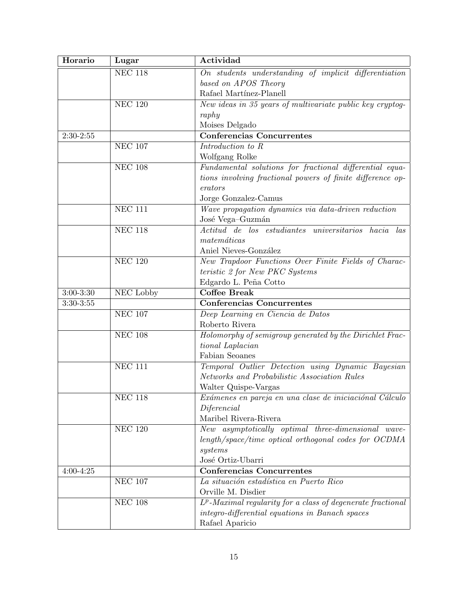| Horario       | Lugar                       | Actividad                                                      |
|---------------|-----------------------------|----------------------------------------------------------------|
|               | <b>NEC 118</b>              | On students understanding of implicit differentiation          |
|               |                             | based on APOS Theory                                           |
|               |                             | Rafael Martínez-Planell                                        |
|               | <b>NEC 120</b>              | New ideas in 35 years of multivariate public key cryptog-      |
|               |                             | raphy                                                          |
|               |                             | Moises Delgado                                                 |
| $2:30-2:55$   |                             | <b>Conferencias Concurrentes</b>                               |
|               | <b>NEC 107</b>              | Introduction to R                                              |
|               |                             | Wolfgang Rolke                                                 |
|               | <b>NEC 108</b>              | Fundamental solutions for fractional differential equa-        |
|               |                             | tions involving fractional powers of finite difference op-     |
|               |                             | erators                                                        |
|               |                             | Jorge Gonzalez-Camus                                           |
|               | <b>NEC 111</b>              | Wave propagation dynamics via data-driven reduction            |
|               |                             | José Vega-Guzmán                                               |
|               | <b>NEC 118</b>              | Actitud de los estudiantes universitarios hacia las            |
|               |                             | $matem\'aticas$                                                |
|               |                             | Aniel Nieves-González                                          |
|               | <b>NEC 120</b>              | New Trapdoor Functions Over Finite Fields of Charac-           |
|               |                             | teristic 2 for New PKC Systems                                 |
|               |                             | Edgardo L. Peña Cotto                                          |
| $3:00 - 3:30$ | <b>NEC Lobby</b>            | <b>Coffee Break</b>                                            |
| $3:30-3:55$   |                             | <b>Conferencias Concurrentes</b>                               |
|               | <b>NEC 107</b>              | Deep Learning en Ciencia de Datos                              |
|               |                             | Roberto Rivera                                                 |
|               | <b>NEC 108</b>              | Holomorphy of semigroup generated by the Dirichlet Frac-       |
|               |                             | tional Laplacian                                               |
|               |                             | Fabian Seoanes                                                 |
|               | $NEC$ 111                   | Temporal Outlier Detection using Dynamic Bayesian              |
|               |                             | Networks and Probabilistic Association Rules                   |
|               |                             | Walter Quispe-Vargas                                           |
|               | NEC $118$                   | Exámenes en pareja en una clase de iniciaciónal Cálculo        |
|               |                             | Diferencial                                                    |
|               |                             | Maribel Rivera-Rivera                                          |
|               | <b>NEC 120</b>              | New asymptotically optimal three-dimensional wave-             |
|               |                             | length/space/time optical orthogonal codes for OCDMA           |
|               |                             | systems                                                        |
|               |                             | José Ortiz-Ubarri                                              |
| $4:00 - 4:25$ |                             | <b>Conferencias Concurrentes</b>                               |
|               | <b>NEC 107</b>              | La situación estadística en Puerto Rico                        |
|               |                             | Orville M. Disdier                                             |
|               | $\overline{\text{NEC}}$ 108 | $L^p$ -Maximal regularity for a class of degenerate fractional |
|               |                             | integro-differential equations in Banach spaces                |
|               |                             | Rafael Aparicio                                                |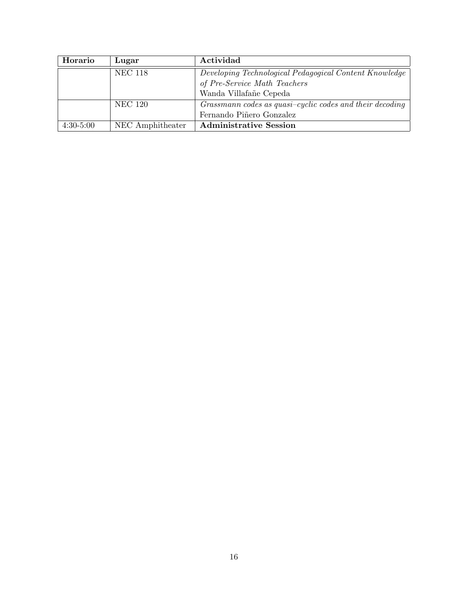| Horario     | Lugar            | Actividad                                                |
|-------------|------------------|----------------------------------------------------------|
|             | <b>NEC 118</b>   | Developing Technological Pedagogical Content Knowledge   |
|             |                  | of Pre-Service Math Teachers                             |
|             |                  | Wanda Villafañe Cepeda                                   |
|             | <b>NEC 120</b>   | Grassmann codes as quasi-cyclic codes and their decoding |
|             |                  | Fernando Piñero Gonzalez                                 |
| $4:30-5:00$ | NEC Amphitheater | <b>Administrative Session</b>                            |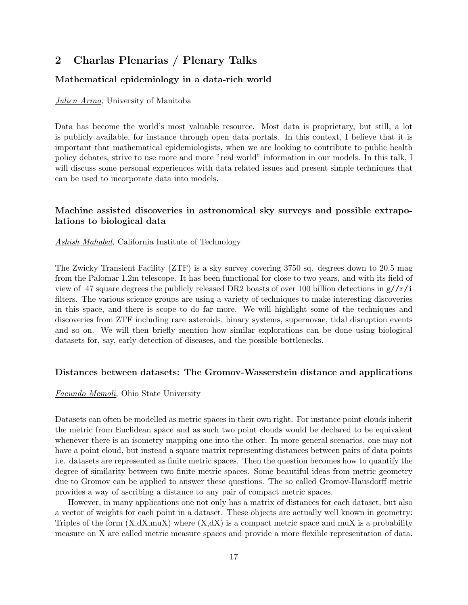# **2 Charlas Plenarias / Plenary Talks**

### **Mathematical epidemiology in a data-rich world**

#### *Julien Arino,* University of Manitoba

Data has become the world's most valuable resource. Most data is proprietary, but still, a lot is publicly available, for instance through open data portals. In this context, I believe that it is important that mathematical epidemiologists, when we are looking to contribute to public health policy debates, strive to use more and more "real world" information in our models. In this talk, I will discuss some personal experiences with data related issues and present simple techniques that can be used to incorporate data into models.

### **Machine assisted discoveries in astronomical sky surveys and possible extrapolations to biological data**

#### *Ashish Mahabal,* California Institute of Technology

The Zwicky Transient Facility (ZTF) is a sky survey covering 3750 sq. degrees down to 20.5 mag from the Palomar 1.2m telescope. It has been functional for close to two years, and with its field of view of 47 square degrees the publicly released DR2 boasts of over 100 billion detections in  $g//r/i$ filters. The various science groups are using a variety of techniques to make interesting discoveries in this space, and there is scope to do far more. We will highlight some of the techniques and discoveries from ZTF including rare asteroids, binary systems, supernovae, tidal disruption events and so on. We will then briefly mention how similar explorations can be done using biological datasets for, say, early detection of diseases, and the possible bottlenecks.

#### **Distances between datasets: The Gromov-Wasserstein distance and applications**

#### *Facundo Memoli,* Ohio State University

Datasets can often be modelled as metric spaces in their own right. For instance point clouds inherit the metric from Euclidean space and as such two point clouds would be declared to be equivalent whenever there is an isometry mapping one into the other. In more general scenarios, one may not have a point cloud, but instead a square matrix representing distances between pairs of data points i.e. datasets are represented as finite metric spaces. Then the question becomes how to quantify the degree of similarity between two finite metric spaces. Some beautiful ideas from metric geometry due to Gromov can be applied to answer these questions. The so called Gromov-Hausdorff metric provides a way of ascribing a distance to any pair of compact metric spaces.

However, in many applications one not only has a matrix of distances for each dataset, but also a vector of weights for each point in a dataset. These objects are actually well known in geometry: Triples of the form  $(X,dX,muX)$  where  $(X,dX)$  is a compact metric space and muX is a probability measure on X are called metric measure spaces and provide a more flexible representation of data.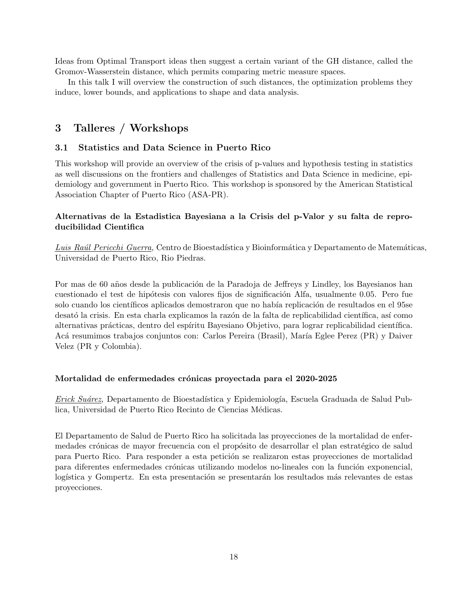Ideas from Optimal Transport ideas then suggest a certain variant of the GH distance, called the Gromov-Wasserstein distance, which permits comparing metric measure spaces.

In this talk I will overview the construction of such distances, the optimization problems they induce, lower bounds, and applications to shape and data analysis.

### **3 Talleres / Workshops**

#### **3.1 Statistics and Data Science in Puerto Rico**

This workshop will provide an overview of the crisis of p-values and hypothesis testing in statistics as well discussions on the frontiers and challenges of Statistics and Data Science in medicine, epidemiology and government in Puerto Rico. This workshop is sponsored by the American Statistical Association Chapter of Puerto Rico (ASA-PR).

### **Alternativas de la Estadistica Bayesiana a la Crisis del p-Valor y su falta de reproducibilidad Cientifica**

*Luis Raúl Pericchi Guerra*, Centro de Bioestadística y Bioinformática y Departamento de Matemáticas, Universidad de Puerto Rico, Rio Piedras.

Por mas de 60 años desde la publicación de la Paradoja de Jeffreys y Lindley, los Bayesianos han cuestionado el test de hipótesis con valores fijos de significación Alfa, usualmente 0.05. Pero fue solo cuando los científicos aplicados demostraron que no había replicación de resultados en el 95se desató la crisis. En esta charla explicamos la razón de la falta de replicabilidad científica, así como alternativas prácticas, dentro del espíritu Bayesiano Objetivo, para lograr replicabilidad científica. Acá resumimos trabajos conjuntos con: Carlos Pereira (Brasil), María Eglee Perez (PR) y Daiver Velez (PR y Colombia).

#### **Mortalidad de enfermedades cr´onicas proyectada para el 2020-2025**

*Erick Suárez*, Departamento de Bioestadística y Epidemiología, Escuela Graduada de Salud Publica, Universidad de Puerto Rico Recinto de Ciencias Médicas.

El Departamento de Salud de Puerto Rico ha solicitada las proyecciones de la mortalidad de enfermedades crónicas de mayor frecuencia con el propósito de desarrollar el plan estratégico de salud para Puerto Rico. Para responder a esta petición se realizaron estas proyecciones de mortalidad para diferentes enfermedades crónicas utilizando modelos no-lineales con la función exponencial, logística y Gompertz. En esta presentación se presentarán los resultados más relevantes de estas proyecciones.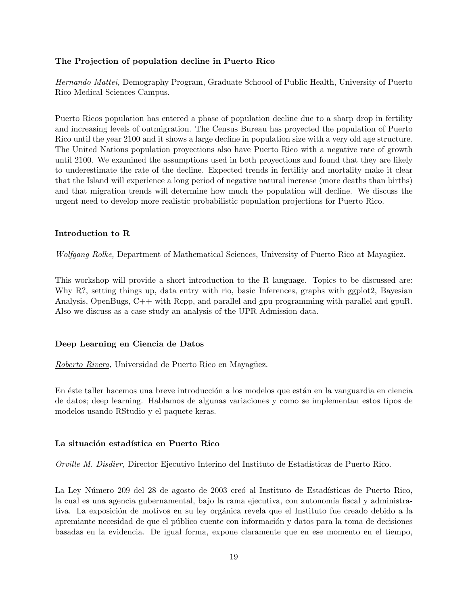#### **The Projection of population decline in Puerto Rico**

*Hernando Mattei,* Demography Program, Graduate Schoool of Public Health, University of Puerto Rico Medical Sciences Campus.

Puerto Ricos population has entered a phase of population decline due to a sharp drop in fertility and increasing levels of outmigration. The Census Bureau has proyected the population of Puerto Rico until the year 2100 and it shows a large decline in population size with a very old age structure. The United Nations population proyections also have Puerto Rico with a negative rate of growth until 2100. We examined the assumptions used in both proyections and found that they are likely to underestimate the rate of the decline. Expected trends in fertility and mortality make it clear that the Island will experience a long period of negative natural increase (more deaths than births) and that migration trends will determine how much the population will decline. We discuss the urgent need to develop more realistic probabilistic population projections for Puerto Rico.

#### **Introduction to R**

*Wolfgang Rolke,* Department of Mathematical Sciences, University of Puerto Rico at Mayagüez.

This workshop will provide a short introduction to the R language. Topics to be discussed are: Why R?, setting things up, data entry with rio, basic Inferences, graphs with ggplot2, Bayesian Analysis, OpenBugs, C++ with Rcpp, and parallel and gpu programming with parallel and gpuR. Also we discuss as a case study an analysis of the UPR Admission data.

#### **Deep Learning en Ciencia de Datos**

*Roberto Rivera*, Universidad de Puerto Rico en Mayagüez.

En éste taller hacemos una breve introducción a los modelos que están en la vanguardia en ciencia de datos; deep learning. Hablamos de algunas variaciones y como se implementan estos tipos de modelos usando RStudio y el paquete keras.

#### La situación estadística en Puerto Rico

*Orville M. Disdier*, Director Ejecutivo Interino del Instituto de Estadísticas de Puerto Rico.

La Ley Número 209 del 28 de agosto de 2003 creó al Instituto de Estadísticas de Puerto Rico, la cual es una agencia gubernamental, bajo la rama ejecutiva, con autonomía fiscal y administrativa. La exposición de motivos en su ley orgánica revela que el Instituto fue creado debido a la apremiante necesidad de que el público cuente con información y datos para la toma de decisiones basadas en la evidencia. De igual forma, expone claramente que en ese momento en el tiempo,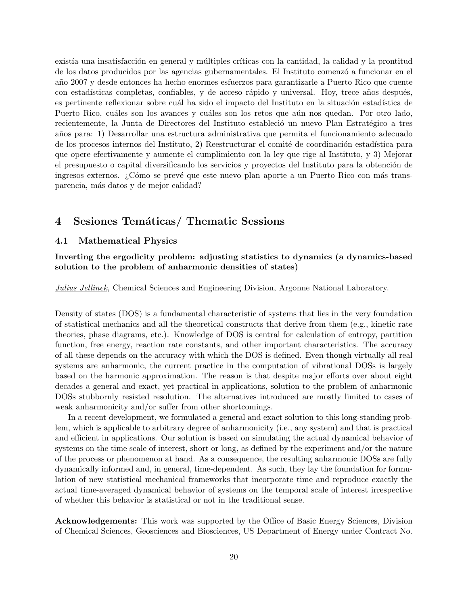existía una insatisfacción en general y múltiples críticas con la cantidad, la calidad y la prontitud de los datos producidos por las agencias gubernamentales. El Instituto comenz´o a funcionar en el a˜no 2007 y desde entonces ha hecho enormes esfuerzos para garantizarle a Puerto Rico que cuente con estadísticas completas, confiables, y de acceso rápido y universal. Hoy, trece años después, es pertinente reflexionar sobre cuál ha sido el impacto del Instituto en la situación estadística de Puerto Rico, cuáles son los avances y cuáles son los retos que aún nos quedan. Por otro lado, recientemente, la Junta de Directores del Instituto estableció un nuevo Plan Estratégico a tres a˜nos para: 1) Desarrollar una estructura administrativa que permita el funcionamiento adecuado de los procesos internos del Instituto, 2) Reestructurar el comité de coordinación estadística para que opere efectivamente y aumente el cumplimiento con la ley que rige al Instituto, y 3) Mejorar el presupuesto o capital diversificando los servicios y provectos del Instituto para la obtención de ingresos externos. ¿Cómo se prevé que este nuevo plan aporte a un Puerto Rico con más transparencia, m´as datos y de mejor calidad?

### **4 Sesiones Tem´aticas/ Thematic Sessions**

#### **4.1 Mathematical Physics**

**Inverting the ergodicity problem: adjusting statistics to dynamics (a dynamics-based solution to the problem of anharmonic densities of states)**

*Julius Jellinek,* Chemical Sciences and Engineering Division, Argonne National Laboratory.

Density of states (DOS) is a fundamental characteristic of systems that lies in the very foundation of statistical mechanics and all the theoretical constructs that derive from them (e.g., kinetic rate theories, phase diagrams, etc.). Knowledge of DOS is central for calculation of entropy, partition function, free energy, reaction rate constants, and other important characteristics. The accuracy of all these depends on the accuracy with which the DOS is defined. Even though virtually all real systems are anharmonic, the current practice in the computation of vibrational DOSs is largely based on the harmonic approximation. The reason is that despite major efforts over about eight decades a general and exact, yet practical in applications, solution to the problem of anharmonic DOSs stubbornly resisted resolution. The alternatives introduced are mostly limited to cases of weak anharmonicity and/or suffer from other shortcomings.

In a recent development, we formulated a general and exact solution to this long-standing problem, which is applicable to arbitrary degree of anharmonicity (i.e., any system) and that is practical and efficient in applications. Our solution is based on simulating the actual dynamical behavior of systems on the time scale of interest, short or long, as defined by the experiment and/or the nature of the process or phenomenon at hand. As a consequence, the resulting anharmonic DOSs are fully dynamically informed and, in general, time-dependent. As such, they lay the foundation for formulation of new statistical mechanical frameworks that incorporate time and reproduce exactly the actual time-averaged dynamical behavior of systems on the temporal scale of interest irrespective of whether this behavior is statistical or not in the traditional sense.

**Acknowledgements:** This work was supported by the Office of Basic Energy Sciences, Division of Chemical Sciences, Geosciences and Biosciences, US Department of Energy under Contract No.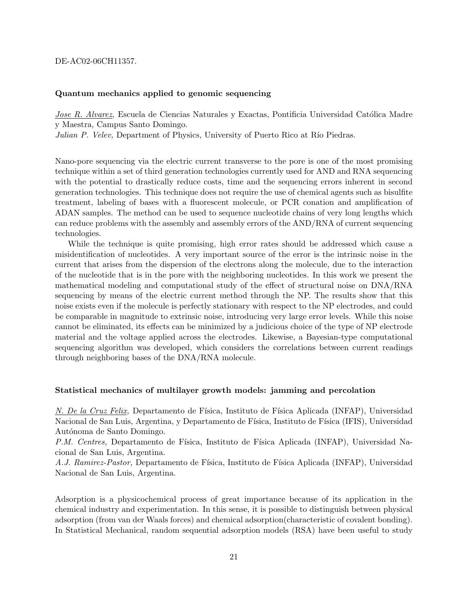#### DE-AC02-06CH11357.

#### **Quantum mechanics applied to genomic sequencing**

*Jose R. Alvarez,* Escuela de Ciencias Naturales y Exactas, Pontificia Universidad Católica Madre y Maestra, Campus Santo Domingo.

*Julian P. Velev,* Department of Physics, University of Puerto Rico at Río Piedras.

Nano-pore sequencing via the electric current transverse to the pore is one of the most promising technique within a set of third generation technologies currently used for AND and RNA sequencing with the potential to drastically reduce costs, time and the sequencing errors inherent in second generation technologies. This technique does not require the use of chemical agents such as bisulfite treatment, labeling of bases with a fluorescent molecule, or PCR conation and amplification of ADAN samples. The method can be used to sequence nucleotide chains of very long lengths which can reduce problems with the assembly and assembly errors of the AND/RNA of current sequencing technologies.

While the technique is quite promising, high error rates should be addressed which cause a misidentification of nucleotides. A very important source of the error is the intrinsic noise in the current that arises from the dispersion of the electrons along the molecule, due to the interaction of the nucleotide that is in the pore with the neighboring nucleotides. In this work we present the mathematical modeling and computational study of the effect of structural noise on DNA/RNA sequencing by means of the electric current method through the NP. The results show that this noise exists even if the molecule is perfectly stationary with respect to the NP electrodes, and could be comparable in magnitude to extrinsic noise, introducing very large error levels. While this noise cannot be eliminated, its effects can be minimized by a judicious choice of the type of NP electrode material and the voltage applied across the electrodes. Likewise, a Bayesian-type computational sequencing algorithm was developed, which considers the correlations between current readings through neighboring bases of the DNA/RNA molecule.

#### **Statistical mechanics of multilayer growth models: jamming and percolation**

*N. De la Cruz Felix,* Departamento de Física, Instituto de Física Aplicada (INFAP), Universidad Nacional de San Luis, Argentina, y Departamento de Física, Instituto de Física (IFIS), Universidad Autónoma de Santo Domingo.

*P.M. Centres,* Departamento de Física, Instituto de Física Aplicada (INFAP), Universidad Nacional de San Luis, Argentina.

A.J. Ramirez-Pastor, Departamento de Física, Instituto de Física Aplicada (INFAP), Universidad Nacional de San Luis, Argentina.

Adsorption is a physicochemical process of great importance because of its application in the chemical industry and experimentation. In this sense, it is possible to distinguish between physical adsorption (from van der Waals forces) and chemical adsorption(characteristic of covalent bonding). In Statistical Mechanical, random sequential adsorption models (RSA) have been useful to study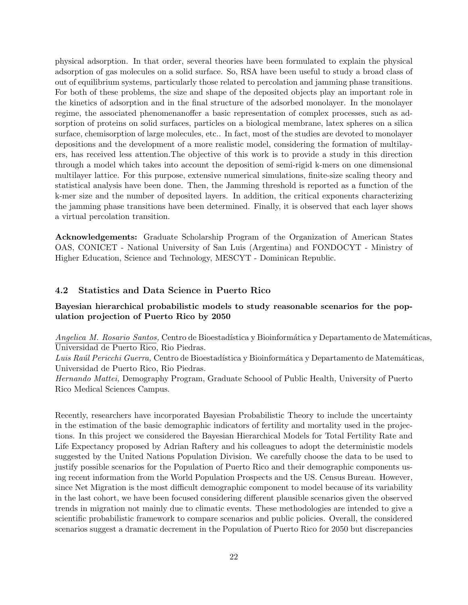physical adsorption. In that order, several theories have been formulated to explain the physical adsorption of gas molecules on a solid surface. So, RSA have been useful to study a broad class of out of equilibrium systems, particularly those related to percolation and jamming phase transitions. For both of these problems, the size and shape of the deposited objects play an important role in the kinetics of adsorption and in the final structure of the adsorbed monolayer. In the monolayer regime, the associated phenomenanoffer a basic representation of complex processes, such as adsorption of proteins on solid surfaces, particles on a biological membrane, latex spheres on a silica surface, chemisorption of large molecules, etc.. In fact, most of the studies are devoted to monolayer depositions and the development of a more realistic model, considering the formation of multilayers, has received less attention.The objective of this work is to provide a study in this direction through a model which takes into account the deposition of semi-rigid k-mers on one dimensional multilayer lattice. For this purpose, extensive numerical simulations, finite-size scaling theory and statistical analysis have been done. Then, the Jamming threshold is reported as a function of the k-mer size and the number of deposited layers. In addition, the critical exponents characterizing the jamming phase transitions have been determined. Finally, it is observed that each layer shows a virtual percolation transition.

**Acknowledgements:** Graduate Scholarship Program of the Organization of American States OAS, CONICET - National University of San Luis (Argentina) and FONDOCYT - Ministry of Higher Education, Science and Technology, MESCYT - Dominican Republic.

#### **4.2 Statistics and Data Science in Puerto Rico**

### **Bayesian hierarchical probabilistic models to study reasonable scenarios for the population projection of Puerto Rico by 2050**

*Angelica M. Rosario Santos,* Centro de Bioestadística y Bioinformática y Departamento de Matemáticas, Universidad de Puerto Rico, Rio Piedras.

Luis Raúl Pericchi Guerra, Centro de Bioestadística y Bioinformática y Departamento de Matemáticas, Universidad de Puerto Rico, Rio Piedras.

*Hernando Mattei,* Demography Program, Graduate Schoool of Public Health, University of Puerto Rico Medical Sciences Campus.

Recently, researchers have incorporated Bayesian Probabilistic Theory to include the uncertainty in the estimation of the basic demographic indicators of fertility and mortality used in the projections. In this project we considered the Bayesian Hierarchical Models for Total Fertility Rate and Life Expectancy proposed by Adrian Raftery and his colleagues to adopt the deterministic models suggested by the United Nations Population Division. We carefully choose the data to be used to justify possible scenarios for the Population of Puerto Rico and their demographic components using recent information from the World Population Prospects and the US. Census Bureau. However, since Net Migration is the most difficult demographic component to model because of its variability in the last cohort, we have been focused considering different plausible scenarios given the observed trends in migration not mainly due to climatic events. These methodologies are intended to give a scientific probabilistic framework to compare scenarios and public policies. Overall, the considered scenarios suggest a dramatic decrement in the Population of Puerto Rico for 2050 but discrepancies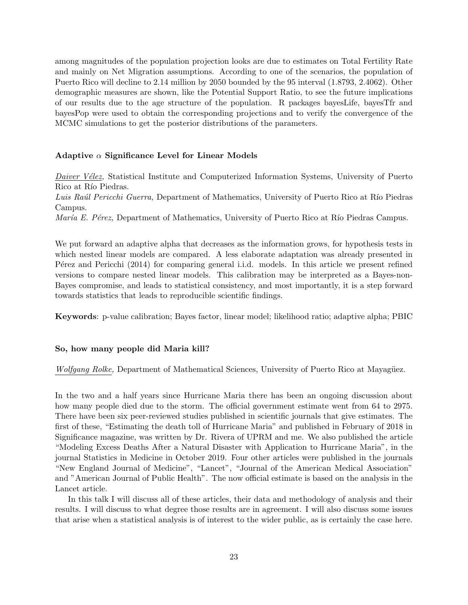among magnitudes of the population projection looks are due to estimates on Total Fertility Rate and mainly on Net Migration assumptions. According to one of the scenarios, the population of Puerto Rico will decline to 2.14 million by 2050 bounded by the 95 interval (1.8793, 2.4062). Other demographic measures are shown, like the Potential Support Ratio, to see the future implications of our results due to the age structure of the population. R packages bayesLife, bayesTfr and bayesPop were used to obtain the corresponding projections and to verify the convergence of the MCMC simulations to get the posterior distributions of the parameters.

#### **Adaptive** *α* **Significance Level for Linear Models**

*Daiver Vélez*, Statistical Institute and Computerized Information Systems, University of Puerto Rico at Río Piedras.

Luis Raúl Pericchi Guerra, Department of Mathematics, University of Puerto Rico at Río Piedras Campus.

*María E. Pérez, Department of Mathematics, University of Puerto Rico at Río Piedras Campus.* 

We put forward an adaptive alpha that decreases as the information grows, for hypothesis tests in which nested linear models are compared. A less elaborate adaptation was already presented in P'erez and Pericchi (2014) for comparing general i.i.d. models. In this article we present refined versions to compare nested linear models. This calibration may be interpreted as a Bayes-non-Bayes compromise, and leads to statistical consistency, and most importantly, it is a step forward towards statistics that leads to reproducible scientific findings.

**Keywords**: p-value calibration; Bayes factor, linear model; likelihood ratio; adaptive alpha; PBIC

#### **So, how many people did Maria kill?**

*Wolfgang Rolke,* Department of Mathematical Sciences, University of Puerto Rico at Mayagüez.

In the two and a half years since Hurricane Maria there has been an ongoing discussion about how many people died due to the storm. The official government estimate went from 64 to 2975. There have been six peer-reviewed studies published in scientific journals that give estimates. The first of these, "Estimating the death toll of Hurricane Maria" and published in February of 2018 in Significance magazine, was written by Dr. Rivera of UPRM and me. We also published the article "Modeling Excess Deaths After a Natural Disaster with Application to Hurricane Maria", in the journal Statistics in Medicine in October 2019. Four other articles were published in the journals "New England Journal of Medicine", "Lancet", "Journal of the American Medical Association" and "American Journal of Public Health". The now official estimate is based on the analysis in the Lancet article.

In this talk I will discuss all of these articles, their data and methodology of analysis and their results. I will discuss to what degree those results are in agreement. I will also discuss some issues that arise when a statistical analysis is of interest to the wider public, as is certainly the case here.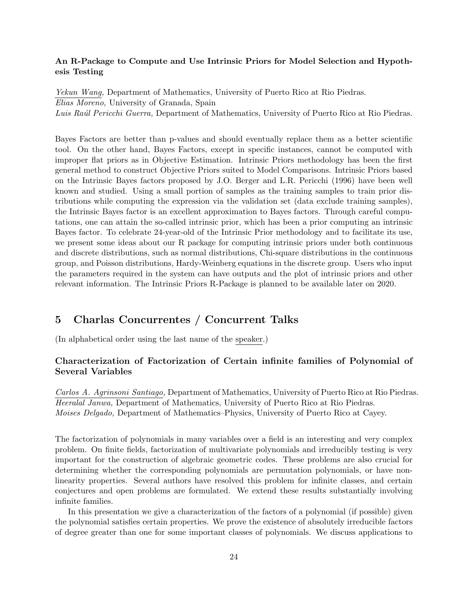#### **An R-Package to Compute and Use Intrinsic Priors for Model Selection and Hypothesis Testing**

*Yekun Wang,* Department of Mathematics, University of Puerto Rico at Rio Piedras. *Elias Moreno,* University of Granada, Spain *Luis Ra´ul Pericchi Guerra,* Department of Mathematics, University of Puerto Rico at Rio Piedras.

Bayes Factors are better than p-values and should eventually replace them as a better scientific tool. On the other hand, Bayes Factors, except in specific instances, cannot be computed with improper flat priors as in Objective Estimation. Intrinsic Priors methodology has been the first general method to construct Objective Priors suited to Model Comparisons. Intrinsic Priors based on the Intrinsic Bayes factors proposed by J.O. Berger and L.R. Pericchi (1996) have been well known and studied. Using a small portion of samples as the training samples to train prior distributions while computing the expression via the validation set (data exclude training samples), the Intrinsic Bayes factor is an excellent approximation to Bayes factors. Through careful computations, one can attain the so-called intrinsic prior, which has been a prior computing an intrinsic Bayes factor. To celebrate 24-year-old of the Intrinsic Prior methodology and to facilitate its use, we present some ideas about our R package for computing intrinsic priors under both continuous and discrete distributions, such as normal distributions, Chi-square distributions in the continuous group, and Poisson distributions, Hardy-Weinberg equations in the discrete group. Users who input the parameters required in the system can have outputs and the plot of intrinsic priors and other relevant information. The Intrinsic Priors R-Package is planned to be available later on 2020.

# **5 Charlas Concurrentes / Concurrent Talks**

(In alphabetical order using the last name of the speaker.)

### **Characterization of Factorization of Certain infinite families of Polynomial of Several Variables**

*Carlos A. Agrinsoni Santiago,* Department of Mathematics, University of Puerto Rico at Rio Piedras. *Heeralal Janwa,* Department of Mathematics, University of Puerto Rico at Rio Piedras. *Moises Delgado,* Department of Mathematics–Physics, University of Puerto Rico at Cayey.

The factorization of polynomials in many variables over a field is an interesting and very complex problem. On finite fields, factorization of multivariate polynomials and irreducibly testing is very important for the construction of algebraic geometric codes. These problems are also crucial for determining whether the corresponding polynomials are permutation polynomials, or have nonlinearity properties. Several authors have resolved this problem for infinite classes, and certain conjectures and open problems are formulated. We extend these results substantially involving infinite families.

In this presentation we give a characterization of the factors of a polynomial (if possible) given the polynomial satisfies certain properties. We prove the existence of absolutely irreducible factors of degree greater than one for some important classes of polynomials. We discuss applications to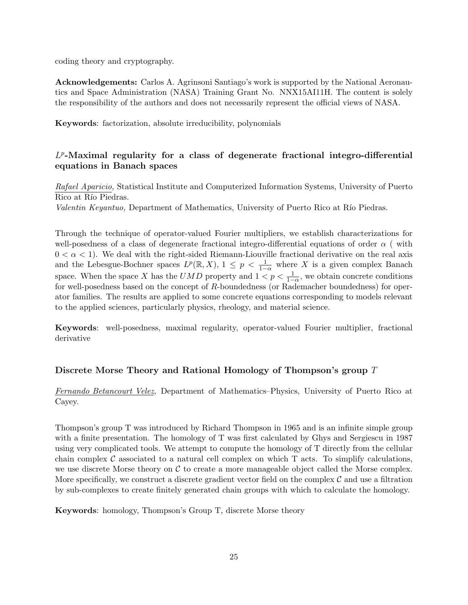coding theory and cryptography.

**Acknowledgements:** Carlos A. Agrinsoni Santiago's work is supported by the National Aeronautics and Space Administration (NASA) Training Grant No. NNX15AI11H. The content is solely the responsibility of the authors and does not necessarily represent the official views of NASA.

**Keywords**: factorization, absolute irreducibility, polynomials

### *L p* **-Maximal regularity for a class of degenerate fractional integro-differential equations in Banach spaces**

*Rafael Aparicio,* Statistical Institute and Computerized Information Systems, University of Puerto Rico at Río Piedras.

*Valentin Keyantuo,* Department of Mathematics, University of Puerto Rico at Río Piedras.

Through the technique of operator-valued Fourier multipliers, we establish characterizations for well-posedness of a class of degenerate fractional integro-differential equations of order *α* ( with  $0 < \alpha < 1$ ). We deal with the right-sided Riemann-Liouville fractional derivative on the real axis and the Lebesgue-Bochner spaces  $L^p(\mathbb{R}, X)$ ,  $1 \leq p \leq \frac{1}{1-\alpha}$  where *X* is a given complex Banach space. When the space *X* has the *UMD* property and  $1 < p < \frac{1}{1-\alpha}$ , we obtain concrete conditions for well-posedness based on the concept of *R*-boundedness (or Rademacher boundedness) for operator families. The results are applied to some concrete equations corresponding to models relevant to the applied sciences, particularly physics, rheology, and material science.

**Keywords**: well-posedness, maximal regularity, operator-valued Fourier multiplier, fractional derivative

### **Discrete Morse Theory and Rational Homology of Thompson's group** *T*

*Fernando Betancourt Velez,* Department of Mathematics–Physics, University of Puerto Rico at Cayey.

Thompson's group T was introduced by Richard Thompson in 1965 and is an infinite simple group with a finite presentation. The homology of T was first calculated by Ghys and Sergiescu in 1987 using very complicated tools. We attempt to compute the homology of T directly from the cellular chain complex  $\mathcal C$  associated to a natural cell complex on which  $T$  acts. To simplify calculations, we use discrete Morse theory on *C* to create a more manageable object called the Morse complex. More specifically, we construct a discrete gradient vector field on the complex  $\mathcal C$  and use a filtration by sub-complexes to create finitely generated chain groups with which to calculate the homology.

**Keywords**: homology, Thompson's Group T, discrete Morse theory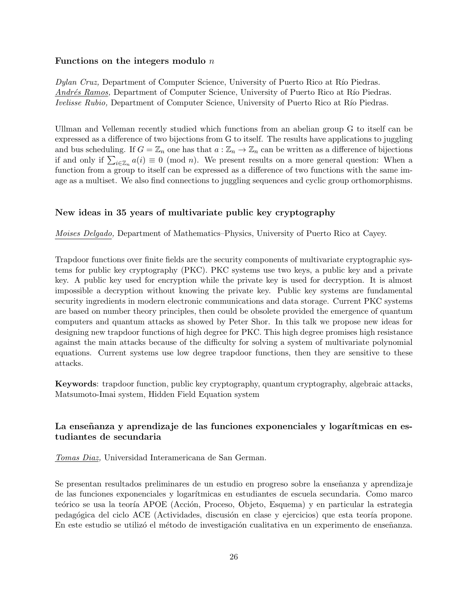#### **Functions on the integers modulo** *n*

*Dylan Cruz,* Department of Computer Science, University of Puerto Rico at Río Piedras. *Andrés Ramos,* Department of Computer Science, University of Puerto Rico at Río Piedras. *Ivelisse Rubio,* Department of Computer Science, University of Puerto Rico at Río Piedras.

Ullman and Velleman recently studied which functions from an abelian group G to itself can be expressed as a difference of two bijections from G to itself. The results have applications to juggling and bus scheduling. If  $G = \mathbb{Z}_n$  one has that  $a : \mathbb{Z}_n \to \mathbb{Z}_n$  can be written as a difference of bijections if and only if  $\sum_{i\in\mathbb{Z}_n}a(i)\equiv 0\pmod{n}$ . We present results on a more general question: When a function from a group to itself can be expressed as a difference of two functions with the same image as a multiset. We also find connections to juggling sequences and cyclic group orthomorphisms.

#### **New ideas in 35 years of multivariate public key cryptography**

*Moises Delgado,* Department of Mathematics–Physics, University of Puerto Rico at Cayey.

Trapdoor functions over finite fields are the security components of multivariate cryptographic systems for public key cryptography (PKC). PKC systems use two keys, a public key and a private key. A public key used for encryption while the private key is used for decryption. It is almost impossible a decryption without knowing the private key. Public key systems are fundamental security ingredients in modern electronic communications and data storage. Current PKC systems are based on number theory principles, then could be obsolete provided the emergence of quantum computers and quantum attacks as showed by Peter Shor. In this talk we propose new ideas for designing new trapdoor functions of high degree for PKC. This high degree promises high resistance against the main attacks because of the difficulty for solving a system of multivariate polynomial equations. Current systems use low degree trapdoor functions, then they are sensitive to these attacks.

**Keywords**: trapdoor function, public key cryptography, quantum cryptography, algebraic attacks, Matsumoto-Imai system, Hidden Field Equation system

### La enseñanza y aprendizaje de las funciones exponenciales y logarítmicas en es**tudiantes de secundaria**

*Tomas Diaz,* Universidad Interamericana de San German.

Se presentan resultados preliminares de un estudio en progreso sobre la enseñanza y aprendizaje de las funciones exponenciales y logar´ıtmicas en estudiantes de escuela secundaria. Como marco teórico se usa la teoría APOE (Acción, Proceso, Objeto, Esquema) y en particular la estrategia pedagógica del ciclo ACE (Actividades, discusión en clase y ejercicios) que esta teoría propone. En este estudio se utilizó el método de investigación cualitativa en un experimento de enseñanza.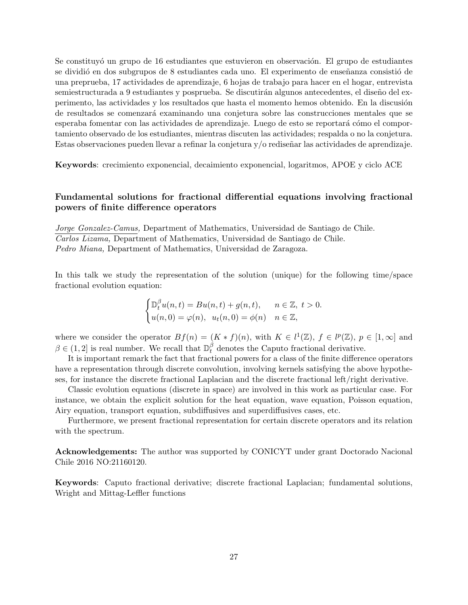Se constituyó un grupo de 16 estudiantes que estuvieron en observación. El grupo de estudiantes se dividió en dos subgrupos de 8 estudiantes cada uno. El experimento de enseñanza consistió de una preprueba, 17 actividades de aprendizaje, 6 hojas de trabajo para hacer en el hogar, entrevista semiestructurada a 9 estudiantes y posprueba. Se discutirán algunos antecedentes, el diseño del experimento, las actividades y los resultados que hasta el momento hemos obtenido. En la discusión de resultados se comenzará examinando una conjetura sobre las construcciones mentales que se esperaba fomentar con las actividades de aprendizaje. Luego de esto se reportará cómo el comportamiento observado de los estudiantes, mientras discuten las actividades; respalda o no la conjetura. Estas observaciones pueden llevar a refinar la conjetura  $v/\sigma$  rediseñar las actividades de aprendizaje.

**Keywords**: crecimiento exponencial, decaimiento exponencial, logaritmos, APOE y ciclo ACE

### **Fundamental solutions for fractional differential equations involving fractional powers of finite difference operators**

*Jorge Gonzalez-Camus,* Department of Mathematics, Universidad de Santiago de Chile. *Carlos Lizama,* Department of Mathematics, Universidad de Santiago de Chile. *Pedro Miana,* Department of Mathematics, Universidad de Zaragoza.

In this talk we study the representation of the solution (unique) for the following time/space fractional evolution equation:

$$
\begin{cases} \mathbb{D}_t^{\beta} u(n,t) = B u(n,t) + g(n,t), & n \in \mathbb{Z}, t > 0. \\ u(n,0) = \varphi(n), u_t(n,0) = \phi(n) & n \in \mathbb{Z}, \end{cases}
$$

where we consider the operator  $Bf(n) = (K * f)(n)$ , with  $K \in l^1(\mathbb{Z})$ ,  $f \in l^p(\mathbb{Z})$ ,  $p \in [1, \infty]$  and  $\beta \in (1, 2]$  is real number. We recall that  $\mathbb{D}_{t}^{\beta}$  denotes the Caputo fractional derivative.

It is important remark the fact that fractional powers for a class of the finite difference operators have a representation through discrete convolution, involving kernels satisfying the above hypotheses, for instance the discrete fractional Laplacian and the discrete fractional left/right derivative.

Classic evolution equations (discrete in space) are involved in this work as particular case. For instance, we obtain the explicit solution for the heat equation, wave equation, Poisson equation, Airy equation, transport equation, subdiffusives and superdiffusives cases, etc.

Furthermore, we present fractional representation for certain discrete operators and its relation with the spectrum.

**Acknowledgements:** The author was supported by CONICYT under grant Doctorado Nacional Chile 2016 NO:21160120.

**Keywords**: Caputo fractional derivative; discrete fractional Laplacian; fundamental solutions, Wright and Mittag-Leffler functions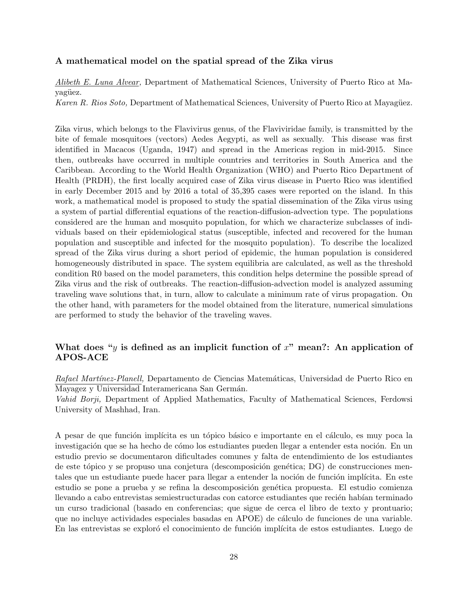#### **A mathematical model on the spatial spread of the Zika virus**

*Alibeth E. Luna Alvear,* Department of Mathematical Sciences, University of Puerto Rico at Mayagüez.

*Karen R. Rios Soto,* Department of Mathematical Sciences, University of Puerto Rico at Mayagüez.

Zika virus, which belongs to the Flavivirus genus, of the Flaviviridae family, is transmitted by the bite of female mosquitoes (vectors) Aedes Aegypti, as well as sexually. This disease was first identified in Macacos (Uganda, 1947) and spread in the Americas region in mid-2015. Since then, outbreaks have occurred in multiple countries and territories in South America and the Caribbean. According to the World Health Organization (WHO) and Puerto Rico Department of Health (PRDH), the first locally acquired case of Zika virus disease in Puerto Rico was identified in early December 2015 and by 2016 a total of 35,395 cases were reported on the island. In this work, a mathematical model is proposed to study the spatial dissemination of the Zika virus using a system of partial differential equations of the reaction-diffusion-advection type. The populations considered are the human and mosquito population, for which we characterize subclasses of individuals based on their epidemiological status (susceptible, infected and recovered for the human population and susceptible and infected for the mosquito population). To describe the localized spread of the Zika virus during a short period of epidemic, the human population is considered homogeneously distributed in space. The system equilibria are calculated, as well as the threshold condition R0 based on the model parameters, this condition helps determine the possible spread of Zika virus and the risk of outbreaks. The reaction-diffusion-advection model is analyzed assuming traveling wave solutions that, in turn, allow to calculate a minimum rate of virus propagation. On the other hand, with parameters for the model obtained from the literature, numerical simulations are performed to study the behavior of the traveling waves.

### **What does "***y* **is defined as an implicit function of** *x***" mean?: An application of APOS-ACE**

*Rafael Mart´ınez-Planell,* Departamento de Ciencias Matem´aticas, Universidad de Puerto Rico en Mayagez y Universidad Interamericana San Germán.

*Vahid Borji,* Department of Applied Mathematics, Faculty of Mathematical Sciences, Ferdowsi University of Mashhad, Iran.

A pesar de que función implícita es un tópico básico e importante en el cálculo, es muy poca la investigación que se ha hecho de cómo los estudiantes pueden llegar a entender esta noción. En un estudio previo se documentaron dificultades comunes y falta de entendimiento de los estudiantes de este tópico y se propuso una conjetura (descomposición genética; DG) de construcciones mentales que un estudiante puede hacer para llegar a entender la noción de función implícita. En este estudio se pone a prueba y se refina la descomposición genética propuesta. El estudio comienza llevando a cabo entrevistas semiestructuradas con catorce estudiantes que recién habían terminado un curso tradicional (basado en conferencias; que sigue de cerca el libro de texto y prontuario; que no incluye actividades especiales basadas en APOE) de cálculo de funciones de una variable. En las entrevistas se exploró el conocimiento de función implícita de estos estudiantes. Luego de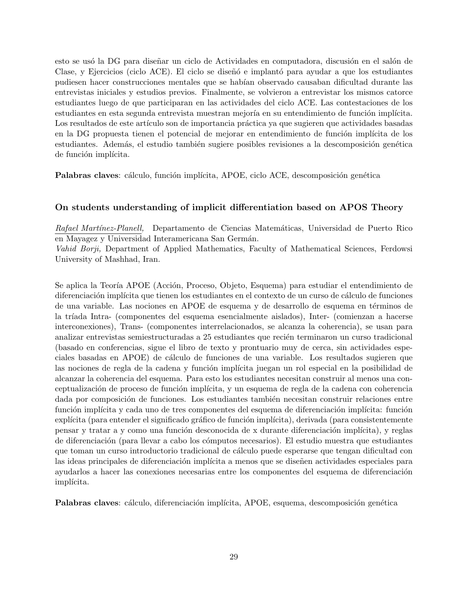esto se usó la DG para diseñar un ciclo de Actividades en computadora, discusión en el salón de Clase, y Ejercicios (ciclo ACE). El ciclo se diseñó e implantó para ayudar a que los estudiantes pudiesen hacer construcciones mentales que se habían observado causaban dificultad durante las entrevistas iniciales y estudios previos. Finalmente, se volvieron a entrevistar los mismos catorce estudiantes luego de que participaran en las actividades del ciclo ACE. Las contestaciones de los estudiantes en esta segunda entrevista muestran mejoría en su entendimiento de función implícita. Los resultados de este artículo son de importancia práctica ya que sugieren que actividades basadas en la DG propuesta tienen el potencial de mejorar en entendimiento de función implícita de los estudiantes. Además, el estudio también sugiere posibles revisiones a la descomposición genética de función implícita.

**Palabras claves**: cálculo, función implícita, APOE, ciclo ACE, descomposición genética

#### **On students understanding of implicit differentiation based on APOS Theory**

*Rafael Martínez-Planell,* Departamento de Ciencias Matemáticas, Universidad de Puerto Rico en Mayagez y Universidad Interamericana San Germán.

*Vahid Borji,* Department of Applied Mathematics, Faculty of Mathematical Sciences, Ferdowsi University of Mashhad, Iran.

Se aplica la Teoría APOE (Acción, Proceso, Objeto, Esquema) para estudiar el entendimiento de diferenciación implícita que tienen los estudiantes en el contexto de un curso de cálculo de funciones de una variable. Las nociones en APOE de esquema y de desarrollo de esquema en términos de la tríada Intra- (componentes del esquema esencialmente aislados), Inter- (comienzan a hacerse interconexiones), Trans- (componentes interrelacionados, se alcanza la coherencia), se usan para analizar entrevistas semiestructuradas a 25 estudiantes que recién terminaron un curso tradicional (basado en conferencias, sigue el libro de texto y prontuario muy de cerca, sin actividades especiales basadas en APOE) de c´alculo de funciones de una variable. Los resultados sugieren que las nociones de regla de la cadena y función implícita juegan un rol especial en la posibilidad de alcanzar la coherencia del esquema. Para esto los estudiantes necesitan construir al menos una conceptualización de proceso de función implícita, y un esquema de regla de la cadena con coherencia dada por composición de funciones. Los estudiantes también necesitan construir relaciones entre función implícita y cada uno de tres componentes del esquema de diferenciación implícita: función explícita (para entender el significado gráfico de función implícita), derivada (para consistentemente pensar y tratar a y como una función desconocida de x durante diferenciación implícita), y reglas de diferenciaci´on (para llevar a cabo los c´omputos necesarios). El estudio muestra que estudiantes que toman un curso introductorio tradicional de cálculo puede esperarse que tengan dificultad con las ideas principales de diferenciación implícita a menos que se diseñen actividades especiales para ayudarlos a hacer las conexiones necesarias entre los componentes del esquema de diferenciación implícita.

**Palabras claves**: cálculo, diferenciación implícita, APOE, esquema, descomposición genética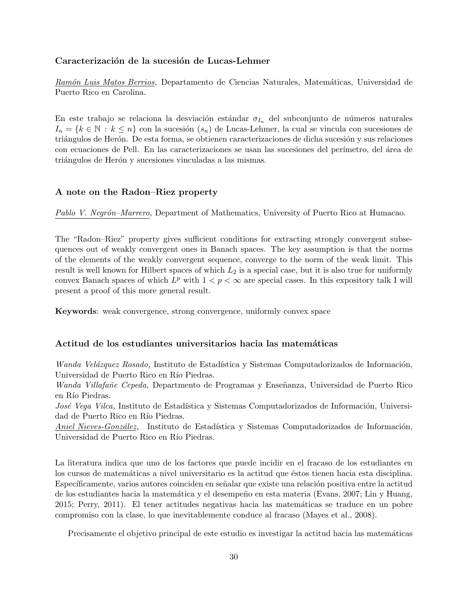#### Caracterización de la sucesión de Lucas-Lehmer

*Ram´on Luis Matos Berrios,* Departamento de Ciencias Naturales, Matem´aticas, Universidad de Puerto Rico en Carolina.

En este trabajo se relaciona la desviación estándar  $\sigma_{I_n}$  del subconjunto de números naturales  $I_n = \{k \in \mathbb{N} : k \leq n\}$  con la sucesión  $(s_n)$  de Lucas-Lehmer, la cual se vincula con sucesiones de triángulos de Herón. De esta forma, se obtienen caracterizaciones de dicha sucesión y sus relaciones con ecuaciones de Pell. En las caracterizaciones se usan las sucesiones del perímetro, del área de triángulos de Herón y sucesiones vinculadas a las mismas.

#### **A note on the Radon–Riez property**

*Pablo V. Negr´on–Marrero,* Department of Mathematics, University of Puerto Rico at Humacao.

The "Radon–Riez" property gives sufficient conditions for extracting strongly convergent subsequences out of weakly convergent ones in Banach spaces. The key assumption is that the norms of the elements of the weakly convergent sequence, converge to the norm of the weak limit. This result is well known for Hilbert spaces of which *L*<sup>2</sup> is a special case, but it is also true for uniformly convex Banach spaces of which  $L^p$  with  $1 < p < \infty$  are special cases. In this expository talk I will present a proof of this more general result.

**Keywords**: weak convergence, strong convergence, uniformly convex space

#### Actitud de los estudiantes universitarios hacia las matemáticas

*Wanda Velázquez Rosado,* Instituto de Estadística y Sistemas Computadorizados de Información, Universidad de Puerto Rico en Río Piedras.

*Wanda Villafañe Cepeda,* Departmento de Programas y Enseñanza, Universidad de Puerto Rico en Río Piedras.

*José Vega Vilca*, Instituto de Estadística y Sistemas Computadorizados de Información, Universidad de Puerto Rico en Río Piedras.

*Aniel Nieves-González,* Instituto de Estadística y Sistemas Computadorizados de Información, Universidad de Puerto Rico en Río Piedras.

La literatura indica que uno de los factores que puede incidir en el fracaso de los estudiantes en los cursos de matemáticas a nivel universitario es la actitud que éstos tienen hacia esta disciplina. Específicamente, varios autores coinciden en señalar que existe una relación positiva entre la actitud de los estudiantes hacia la matemática y el desempeño en esta materia (Evans, 2007; Lin y Huang, 2015; Perry, 2011). El tener actitudes negativas hacia las matemáticas se traduce en un pobre compromiso con la clase, lo que inevitablemente conduce al fracaso (Mayes et al., 2008).

Precisamente el objetivo principal de este estudio es investigar la actitud hacia las matemáticas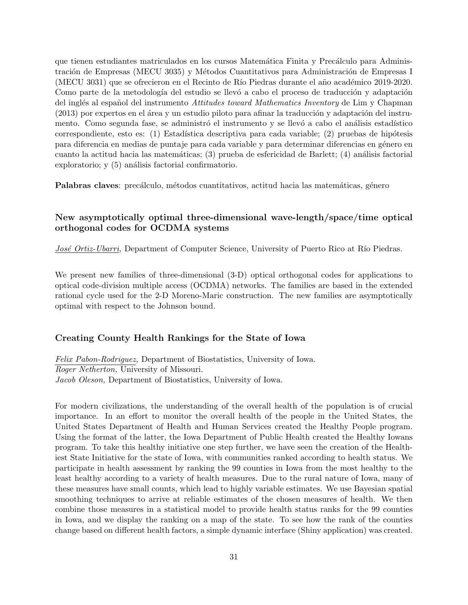que tienen estudiantes matriculados en los cursos Matemática Finita y Precálculo para Administración de Empresas (MECU 3035) y Métodos Cuantitativos para Administración de Empresas I (MECU 3031) que se ofrecieron en el Recinto de Río Piedras durante el año académico 2019-2020. Como parte de la metodología del estudio se llevó a cabo el proceso de traducción y adaptación del ingl´es al espa˜nol del instrumento *Attitudes toward Mathematics Inventory* de Lim y Chapman  $(2013)$  por expertos en el área y un estudio piloto para afinar la traducción y adaptación del instrumento. Como segunda fase, se administró el instrumento y se llevó a cabo el análisis estadístico correspondiente, esto es: (1) Estadística descriptiva para cada variable; (2) pruebas de hipótesis para diferencia en medias de puntaje para cada variable y para determinar diferencias en género en cuanto la actitud hacia las matemáticas;  $(3)$  prueba de esfericidad de Barlett;  $(4)$  análisis factorial exploratorio; y  $(5)$  análisis factorial confirmatorio.

**Palabras claves**: precálculo, métodos cuantitativos, actitud hacia las matemáticas, género

### **New asymptotically optimal three-dimensional wave-length/space/time optical orthogonal codes for OCDMA systems**

*José Ortiz-Ubarri*, Department of Computer Science, University of Puerto Rico at Río Piedras.

We present new families of three-dimensional (3-D) optical orthogonal codes for applications to optical code-division multiple access (OCDMA) networks. The families are based in the extended rational cycle used for the 2-D Moreno-Maric construction. The new families are asymptotically optimal with respect to the Johnson bound.

#### **Creating County Health Rankings for the State of Iowa**

*Felix Pabon-Rodriguez,* Department of Biostatistics, University of Iowa. *Roger Netherton,* University of Missouri. *Jacob Oleson,* Department of Biostatistics, University of Iowa.

For modern civilizations, the understanding of the overall health of the population is of crucial importance. In an effort to monitor the overall health of the people in the United States, the United States Department of Health and Human Services created the Healthy People program. Using the format of the latter, the Iowa Department of Public Health created the Healthy Iowans program. To take this healthy initiative one step further, we have seen the creation of the Healthiest State Initiative for the state of Iowa, with communities ranked according to health status. We participate in health assessment by ranking the 99 counties in Iowa from the most healthy to the least healthy according to a variety of health measures. Due to the rural nature of Iowa, many of these measures have small counts, which lead to highly variable estimates. We use Bayesian spatial smoothing techniques to arrive at reliable estimates of the chosen measures of health. We then combine those measures in a statistical model to provide health status ranks for the 99 counties in Iowa, and we display the ranking on a map of the state. To see how the rank of the counties change based on different health factors, a simple dynamic interface (Shiny application) was created.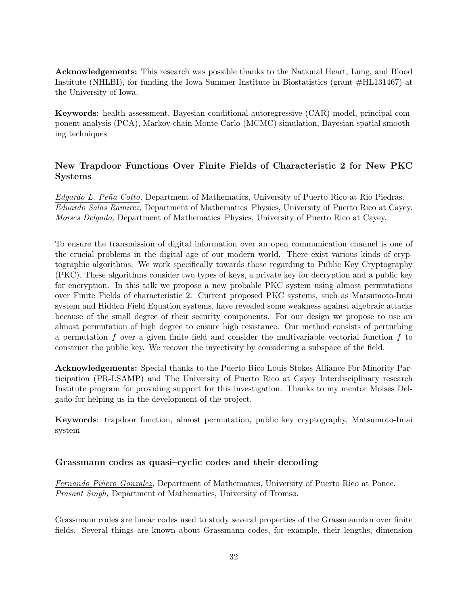**Acknowledgements:** This research was possible thanks to the National Heart, Lung, and Blood Institute (NHLBI), for funding the Iowa Summer Institute in Biostatistics (grant #HL131467) at the University of Iowa.

**Keywords**: health assessment, Bayesian conditional autoregressive (CAR) model, principal component analysis (PCA), Markov chain Monte Carlo (MCMC) simulation, Bayesian spatial smoothing techniques

### **New Trapdoor Functions Over Finite Fields of Characteristic 2 for New PKC Systems**

*Edgardo L. Pe˜na Cotto,* Department of Mathematics, University of Puerto Rico at Rio Piedras. *Eduardo Salas Ramirez,* Department of Mathematics–Physics, University of Puerto Rico at Cayey. *Moises Delgado,* Department of Mathematics–Physics, University of Puerto Rico at Cayey.

To ensure the transmission of digital information over an open communication channel is one of the crucial problems in the digital age of our modern world. There exist various kinds of cryptographic algorithms. We work specifically towards those regarding to Public Key Cryptography (PKC). These algorithms consider two types of keys, a private key for decryption and a public key for encryption. In this talk we propose a new probable PKC system using almost permutations over Finite Fields of characteristic 2. Current proposed PKC systems, such as Matsumoto-Imai system and Hidden Field Equation systems, have revealed some weakness against algebraic attacks because of the small degree of their security components. For our design we propose to use an almost permutation of high degree to ensure high resistance. Our method consists of perturbing a permutation f over a given finite field and consider the multivariable vectorial function  $\overline{f}$  to construct the public key. We recover the inyectivity by considering a subspace of the field.

**Acknowledgements:** Special thanks to the Puerto Rico Louis Stokes Alliance For Minority Participation (PR-LSAMP) and The University of Puerto Rico at Cayey Interdisciplinary research Institute program for providing support for this investigation. Thanks to my mentor Moises Delgado for helping us in the development of the project.

**Keywords**: trapdoor function, almost permutation, public key cryptography, Matsumoto-Imai system

### **Grassmann codes as quasi–cyclic codes and their decoding**

*Fernando Piñero Gonzalez, Department of Mathematics, University of Puerto Rico at Ponce. Prasant Singh,* Department of Mathematics, University of Tromsø.

Grassmann codes are linear codes used to study several properties of the Grassmannian over finite fields. Several things are known about Grassmann codes, for example, their lengths, dimension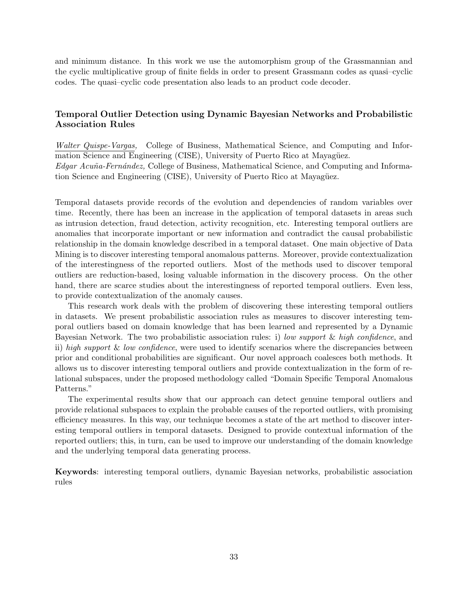and minimum distance. In this work we use the automorphism group of the Grassmannian and the cyclic multiplicative group of finite fields in order to present Grassmann codes as quasi–cyclic codes. The quasi–cyclic code presentation also leads to an product code decoder.

### **Temporal Outlier Detection using Dynamic Bayesian Networks and Probabilistic Association Rules**

*Walter Quispe-Vargas,* College of Business, Mathematical Science, and Computing and Information Science and Engineering (CISE), University of Puerto Rico at Mayagüez. *Edgar Acu˜na-Fern´andez,* College of Business, Mathematical Science, and Computing and Information Science and Engineering (CISE), University of Puerto Rico at Mayagüez.

Temporal datasets provide records of the evolution and dependencies of random variables over time. Recently, there has been an increase in the application of temporal datasets in areas such as intrusion detection, fraud detection, activity recognition, etc. Interesting temporal outliers are anomalies that incorporate important or new information and contradict the causal probabilistic relationship in the domain knowledge described in a temporal dataset. One main objective of Data Mining is to discover interesting temporal anomalous patterns. Moreover, provide contextualization of the interestingness of the reported outliers. Most of the methods used to discover temporal outliers are reduction-based, losing valuable information in the discovery process. On the other hand, there are scarce studies about the interestingness of reported temporal outliers. Even less, to provide contextualization of the anomaly causes.

This research work deals with the problem of discovering these interesting temporal outliers in datasets. We present probabilistic association rules as measures to discover interesting temporal outliers based on domain knowledge that has been learned and represented by a Dynamic Bayesian Network. The two probabilistic association rules: i) *low support* & *high confidence*, and ii) *high support* & *low confidence*, were used to identify scenarios where the discrepancies between prior and conditional probabilities are significant. Our novel approach coalesces both methods. It allows us to discover interesting temporal outliers and provide contextualization in the form of relational subspaces, under the proposed methodology called "Domain Specific Temporal Anomalous Patterns."

The experimental results show that our approach can detect genuine temporal outliers and provide relational subspaces to explain the probable causes of the reported outliers, with promising efficiency measures. In this way, our technique becomes a state of the art method to discover interesting temporal outliers in temporal datasets. Designed to provide contextual information of the reported outliers; this, in turn, can be used to improve our understanding of the domain knowledge and the underlying temporal data generating process.

**Keywords**: interesting temporal outliers, dynamic Bayesian networks, probabilistic association rules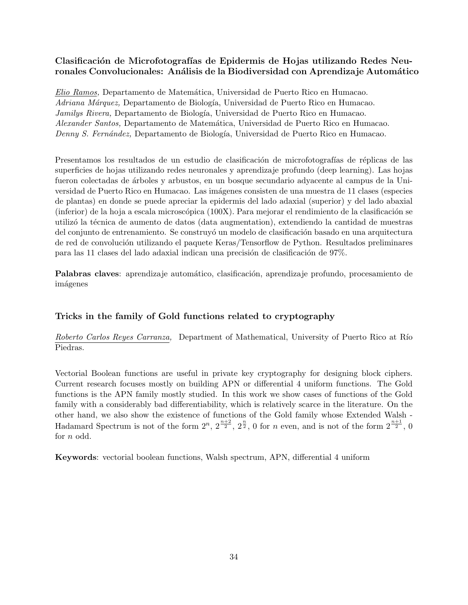### Clasificación de Microfotografías de Epidermis de Hojas utilizando Redes Neu**ronales Convolucionales: An´alisis de la Biodiversidad con Aprendizaje Autom´atico**

*Elio Ramos,* Departamento de Matem´atica, Universidad de Puerto Rico en Humacao. *Adriana Márquez*, Departamento de Biología, Universidad de Puerto Rico en Humacao. *Jamilys Rivera,* Departamento de Biología, Universidad de Puerto Rico en Humacao. *Alexander Santos,* Departamento de Matem´atica, Universidad de Puerto Rico en Humacao. *Denny S. Fernández, Departamento de Biología, Universidad de Puerto Rico en Humacao.* 

Presentamos los resultados de un estudio de clasificación de microfotografías de réplicas de las superficies de hojas utilizando redes neuronales y aprendizaje profundo (deep learning). Las hojas fueron colectadas de ´arboles y arbustos, en un bosque secundario adyacente al campus de la Universidad de Puerto Rico en Humacao. Las imágenes consisten de una muestra de 11 clases (especies de plantas) en donde se puede apreciar la epidermis del lado adaxial (superior) y del lado abaxial  $($ inferior) de la hoja a escala microscópica  $(100X)$ . Para mejorar el rendimiento de la clasificación se utilizó la técnica de aumento de datos (data augmentation), extendiendo la cantidad de muestras del conjunto de entrenamiento. Se construyó un modelo de clasificación basado en una arquitectura de red de convolución utilizando el paquete Keras/Tensorflow de Python. Resultados preliminares para las 11 clases del lado adaxial indican una precisión de clasificación de 97%.

**Palabras claves**: aprendizaje automático, clasificación, aprendizaje profundo, procesamiento de imágenes

### **Tricks in the family of Gold functions related to cryptography**

*Roberto Carlos Reyes Carranza,* Department of Mathematical, University of Puerto Rico at R´ıo Piedras.

Vectorial Boolean functions are useful in private key cryptography for designing block ciphers. Current research focuses mostly on building APN or differential 4 uniform functions. The Gold functions is the APN family mostly studied. In this work we show cases of functions of the Gold family with a considerably bad differentiability, which is relatively scarce in the literature. On the other hand, we also show the existence of functions of the Gold family whose Extended Walsh - Hadamard Spectrum is not of the form  $2^n$ ,  $2^{\frac{n+2}{2}}$ ,  $2^{\frac{n}{2}}$ , 0 for *n* even, and is not of the form  $2^{\frac{n+1}{2}}$ , 0 for *n* odd.

**Keywords**: vectorial boolean functions, Walsh spectrum, APN, differential 4 uniform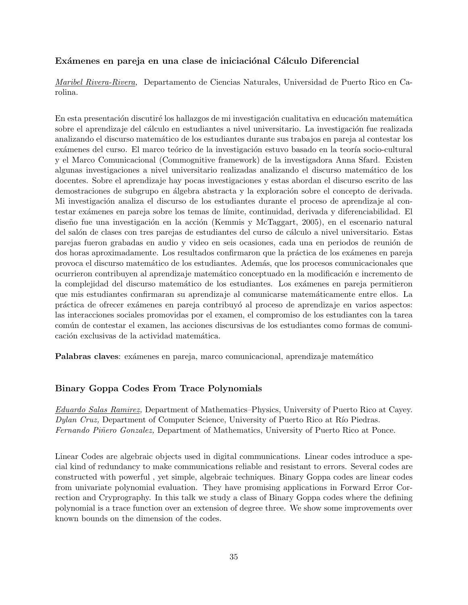### Exámenes en pareja en una clase de iniciaciónal Cálculo Diferencial

*Maribel Rivera-Rivera,* Departamento de Ciencias Naturales, Universidad de Puerto Rico en Carolina.

En esta presentación discutiré los hallazgos de mi investigación cualitativa en educación matemática sobre el aprendizaje del cálculo en estudiantes a nivel universitario. La investigación fue realizada analizando el discurso matem´atico de los estudiantes durante sus trabajos en pareja al contestar los exámenes del curso. El marco teórico de la investigación estuvo basado en la teoría socio-cultural y el Marco Comunicacional (Commognitive framework) de la investigadora Anna Sfard. Existen algunas investigaciones a nivel universitario realizadas analizando el discurso matemático de los docentes. Sobre el aprendizaje hay pocas investigaciones y estas abordan el discurso escrito de las demostraciones de subgrupo en álgebra abstracta y la exploración sobre el concepto de derivada. Mi investigación analiza el discurso de los estudiantes durante el proceso de aprendizaje al contestar ex´amenes en pareja sobre los temas de l´ımite, continuidad, derivada y diferenciabilidad. El diseño fue una investigación en la acción (Kemmis y McTaggart, 2005), en el escenario natural del salón de clases con tres parejas de estudiantes del curso de cálculo a nivel universitario. Estas parejas fueron grabadas en audio y video en seis ocasiones, cada una en periodos de reunión de dos horas aproximadamente. Los resultados confirmaron que la práctica de los exámenes en pareja provoca el discurso matem´atico de los estudiantes. Adem´as, que los procesos comunicacionales que ocurrieron contribuyen al aprendizaje matemático conceptuado en la modificación e incremento de la complejidad del discurso matemático de los estudiantes. Los exámenes en pareja permitieron que mis estudiantes confirmaran su aprendizaje al comunicarse matem´aticamente entre ellos. La pr´actica de ofrecer ex´amenes en pareja contribuy´o al proceso de aprendizaje en varios aspectos: las interacciones sociales promovidas por el examen, el compromiso de los estudiantes con la tarea común de contestar el examen, las acciones discursivas de los estudiantes como formas de comunicación exclusivas de la actividad matemática.

**Palabras claves**: exámenes en pareja, marco comunicacional, aprendizaje matemático

### **Binary Goppa Codes From Trace Polynomials**

*Eduardo Salas Ramirez,* Department of Mathematics–Physics, University of Puerto Rico at Cayey. *Dylan Cruz,* Department of Computer Science, University of Puerto Rico at Río Piedras. *Fernando Piñero Gonzalez,* Department of Mathematics, University of Puerto Rico at Ponce.

Linear Codes are algebraic objects used in digital communications. Linear codes introduce a special kind of redundancy to make communications reliable and resistant to errors. Several codes are constructed with powerful , yet simple, algebraic techniques. Binary Goppa codes are linear codes from univariate polynomial evaluation. They have promising applications in Forward Error Correction and Cryprography. In this talk we study a class of Binary Goppa codes where the defining polynomial is a trace function over an extension of degree three. We show some improvements over known bounds on the dimension of the codes.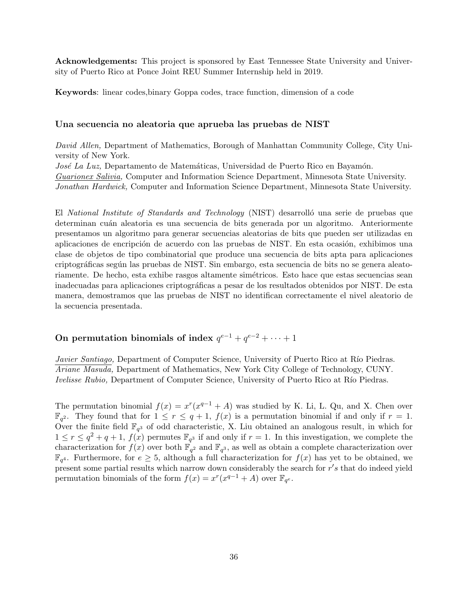**Acknowledgements:** This project is sponsored by East Tennessee State University and University of Puerto Rico at Ponce Joint REU Summer Internship held in 2019.

**Keywords**: linear codes,binary Goppa codes, trace function, dimension of a code

#### **Una secuencia no aleatoria que aprueba las pruebas de NIST**

*David Allen,* Department of Mathematics, Borough of Manhattan Community College, City University of New York.

*José La Luz,* Departamento de Matemáticas, Universidad de Puerto Rico en Bayamón. *Guarionex Salivia,* Computer and Information Science Department, Minnesota State University. *Jonathan Hardwick,* Computer and Information Science Department, Minnesota State University.

El *National Institute of Standards and Technology* (NIST) desarrolló una serie de pruebas que determinan cuán aleatoria es una secuencia de bits generada por un algoritmo. Anteriormente presentamos un algoritmo para generar secuencias aleatorias de bits que pueden ser utilizadas en aplicaciones de encripción de acuerdo con las pruebas de NIST. En esta ocasión, exhibimos una clase de objetos de tipo combinatorial que produce una secuencia de bits apta para aplicaciones criptográficas según las pruebas de NIST. Sin embargo, esta secuencia de bits no se genera aleatoriamente. De hecho, esta exhibe rasgos altamente simétricos. Esto hace que estas secuencias sean inadecuadas para aplicaciones criptográficas a pesar de los resultados obtenidos por NIST. De esta manera, demostramos que las pruebas de NIST no identifican correctamente el nivel aleatorio de la secuencia presentada.

### On permutation binomials of index  $q^{e-1} + q^{e-2} + \cdots + 1$

*Javier Santiago,* Department of Computer Science, University of Puerto Rico at Río Piedras. *Ariane Masuda,* Department of Mathematics, New York City College of Technology, CUNY. *Ivelisse Rubio,* Department of Computer Science, University of Puerto Rico at Río Piedras.

The permutation binomial  $f(x) = x^r(x^{q-1} + A)$  was studied by K. Li, L. Qu, and X. Chen over  $\mathbb{F}_{q^2}$ . They found that for  $1 \leq r \leq q+1$ ,  $f(x)$  is a permutation binomial if and only if  $r=1$ . Over the finite field  $\mathbb{F}_{q^3}$  of odd characteristic, X. Liu obtained an analogous result, in which for  $1 \leq r \leq q^2 + q + 1$ ,  $f(x)$  permutes  $\mathbb{F}_{q^3}$  if and only if  $r = 1$ . In this investigation, we complete the characterization for  $f(x)$  over both  $\mathbb{F}_{q^2}$  and  $\mathbb{F}_{q^3}$ , as well as obtain a complete characterization over  $\mathbb{F}_{q^4}$ . Furthermore, for  $e \geq 5$ , although a full characterization for  $f(x)$  has yet to be obtained, we present some partial results which narrow down considerably the search for *r ′ s* that do indeed yield permutation binomials of the form  $f(x) = x^r(x^{q-1} + A)$  over  $\mathbb{F}_{q^e}$ .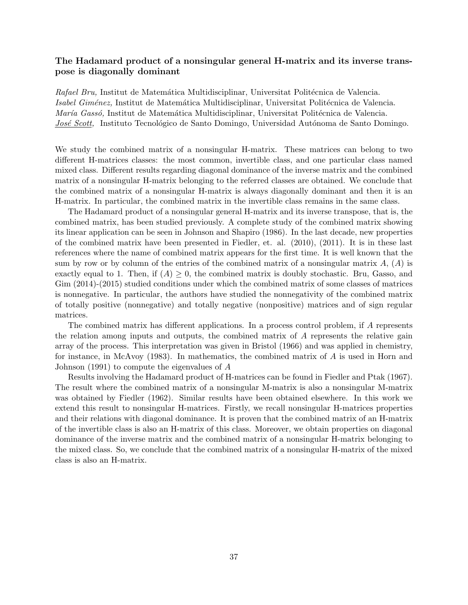### **The Hadamard product of a nonsingular general H-matrix and its inverse transpose is diagonally dominant**

*Rafael Bru*, Institut de Matemática Multidisciplinar, Universitat Politécnica de Valencia. *Isabel Giménez,* Institut de Matemática Multidisciplinar, Universitat Politécnica de Valencia. *María Gassó*, Institut de Matemática Multidisciplinar, Universitat Politécnica de Valencia. *José Scott*, Instituto Tecnológico de Santo Domingo, Universidad Autónoma de Santo Domingo.

We study the combined matrix of a nonsingular H-matrix. These matrices can belong to two different H-matrices classes: the most common, invertible class, and one particular class named mixed class. Different results regarding diagonal dominance of the inverse matrix and the combined matrix of a nonsingular H-matrix belonging to the referred classes are obtained. We conclude that the combined matrix of a nonsingular H-matrix is always diagonally dominant and then it is an H-matrix. In particular, the combined matrix in the invertible class remains in the same class.

The Hadamard product of a nonsingular general H-matrix and its inverse transpose, that is, the combined matrix, has been studied previously. A complete study of the combined matrix showing its linear application can be seen in Johnson and Shapiro (1986). In the last decade, new properties of the combined matrix have been presented in Fiedler, et. al. (2010), (2011). It is in these last references where the name of combined matrix appears for the first time. It is well known that the sum by row or by column of the entries of the combined matrix of a nonsingular matrix  $A$ ,  $(A)$  is exactly equal to 1. Then, if  $(A) \geq 0$ , the combined matrix is doubly stochastic. Bru, Gasso, and Gim (2014)-(2015) studied conditions under which the combined matrix of some classes of matrices is nonnegative. In particular, the authors have studied the nonnegativity of the combined matrix of totally positive (nonnegative) and totally negative (nonpositive) matrices and of sign regular matrices.

The combined matrix has different applications. In a process control problem, if *A* represents the relation among inputs and outputs, the combined matrix of *A* represents the relative gain array of the process. This interpretation was given in Bristol (1966) and was applied in chemistry, for instance, in McAvoy (1983). In mathematics, the combined matrix of *A* is used in Horn and Johnson (1991) to compute the eigenvalues of *A*

Results involving the Hadamard product of H-matrices can be found in Fiedler and Ptak (1967). The result where the combined matrix of a nonsingular M-matrix is also a nonsingular M-matrix was obtained by Fiedler (1962). Similar results have been obtained elsewhere. In this work we extend this result to nonsingular H-matrices. Firstly, we recall nonsingular H-matrices properties and their relations with diagonal dominance. It is proven that the combined matrix of an H-matrix of the invertible class is also an H-matrix of this class. Moreover, we obtain properties on diagonal dominance of the inverse matrix and the combined matrix of a nonsingular H-matrix belonging to the mixed class. So, we conclude that the combined matrix of a nonsingular H-matrix of the mixed class is also an H-matrix.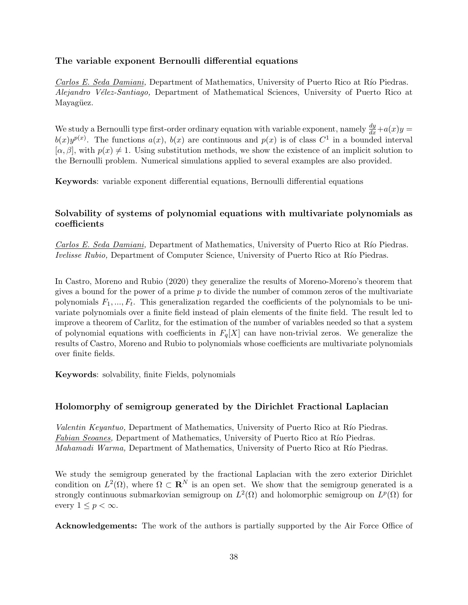### **The variable exponent Bernoulli differential equations**

*Carlos E. Seda Damiani,* Department of Mathematics, University of Puerto Rico at Río Piedras. *Alejandro V´elez-Santiago,* Department of Mathematical Sciences, University of Puerto Rico at Mayagüez.

We study a Bernoulli type first-order ordinary equation with variable exponent, namely  $\frac{dy}{dx} + a(x)y =$  $b(x)y^{p(x)}$ . The functions  $a(x)$ ,  $b(x)$  are continuous and  $p(x)$  is of class  $C^1$  in a bounded interval  $[\alpha, \beta]$ , with  $p(x) \neq 1$ . Using substitution methods, we show the existence of an implicit solution to the Bernoulli problem. Numerical simulations applied to several examples are also provided.

**Keywords**: variable exponent differential equations, Bernoulli differential equations

#### **Solvability of systems of polynomial equations with multivariate polynomials as coefficients**

*Carlos E. Seda Damiani,* Department of Mathematics, University of Puerto Rico at Río Piedras. *Ivelisse Rubio,* Department of Computer Science, University of Puerto Rico at Río Piedras.

In Castro, Moreno and Rubio (2020) they generalize the results of Moreno-Moreno's theorem that gives a bound for the power of a prime *p* to divide the number of common zeros of the multivariate polynomials *F*1*, ..., F<sup>t</sup>* . This generalization regarded the coefficients of the polynomials to be univariate polynomials over a finite field instead of plain elements of the finite field. The result led to improve a theorem of Carlitz, for the estimation of the number of variables needed so that a system of polynomial equations with coefficients in  $F_q[X]$  can have non-trivial zeros. We generalize the results of Castro, Moreno and Rubio to polynomials whose coefficients are multivariate polynomials over finite fields.

**Keywords**: solvability, finite Fields, polynomials

#### **Holomorphy of semigroup generated by the Dirichlet Fractional Laplacian**

*Valentin Keyantuo*, Department of Mathematics, University of Puerto Rico at Río Piedras. *Fabian Seoanes,* Department of Mathematics, University of Puerto Rico at Río Piedras. *Mahamadi Warma,* Department of Mathematics, University of Puerto Rico at Río Piedras.

We study the semigroup generated by the fractional Laplacian with the zero exterior Dirichlet condition on  $L^2(\Omega)$ , where  $\Omega \subset \mathbf{R}^N$  is an open set. We show that the semigroup generated is a strongly continuous submarkovian semigroup on  $L^2(\Omega)$  and holomorphic semigroup on  $L^p(\Omega)$  for every  $1 \leq p < \infty$ .

**Acknowledgements:** The work of the authors is partially supported by the Air Force Office of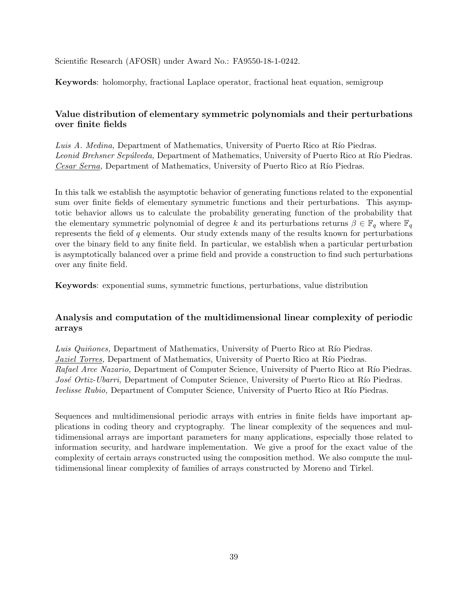Scientific Research (AFOSR) under Award No.: FA9550-18-1-0242.

**Keywords**: holomorphy, fractional Laplace operator, fractional heat equation, semigroup

### **Value distribution of elementary symmetric polynomials and their perturbations over finite fields**

*Luis A. Medina,* Department of Mathematics, University of Puerto Rico at Río Piedras. *Leonid Brehsner Sepúlveda, Department of Mathematics, University of Puerto Rico at Río Piedras. Cesar Serna*, Department of Mathematics, University of Puerto Rico at Río Piedras.

In this talk we establish the asymptotic behavior of generating functions related to the exponential sum over finite fields of elementary symmetric functions and their perturbations. This asymptotic behavior allows us to calculate the probability generating function of the probability that the elementary symmetric polynomial of degree *k* and its perturbations returns  $\beta \in \mathbb{F}_q$  where  $\mathbb{F}_q$ represents the field of *q* elements. Our study extends many of the results known for perturbations over the binary field to any finite field. In particular, we establish when a particular perturbation is asymptotically balanced over a prime field and provide a construction to find such perturbations over any finite field.

**Keywords**: exponential sums, symmetric functions, perturbations, value distribution

### **Analysis and computation of the multidimensional linear complexity of periodic arrays**

*Luis Quiñones,* Department of Mathematics, University of Puerto Rico at Río Piedras. *Jaziel Torres*, Department of Mathematics, University of Puerto Rico at Río Piedras. *Rafael Arce Nazario,* Department of Computer Science, University of Puerto Rico at Río Piedras. *José Ortiz-Ubarri*, Department of Computer Science, University of Puerto Rico at Río Piedras. *Ivelisse Rubio,* Department of Computer Science, University of Puerto Rico at Río Piedras.

Sequences and multidimensional periodic arrays with entries in finite fields have important applications in coding theory and cryptography. The linear complexity of the sequences and multidimensional arrays are important parameters for many applications, especially those related to information security, and hardware implementation. We give a proof for the exact value of the complexity of certain arrays constructed using the composition method. We also compute the multidimensional linear complexity of families of arrays constructed by Moreno and Tirkel.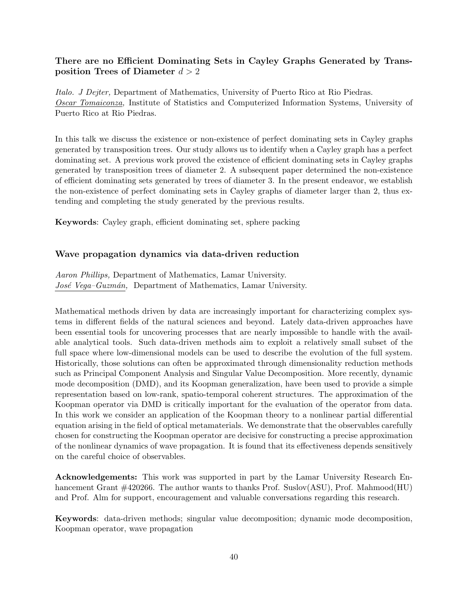### **There are no Efficient Dominating Sets in Cayley Graphs Generated by Transposition Trees of Diameter** *d >* 2

*Italo. J Dejter,* Department of Mathematics, University of Puerto Rico at Rio Piedras. *Oscar Tomaiconza,* Institute of Statistics and Computerized Information Systems, University of Puerto Rico at Rio Piedras.

In this talk we discuss the existence or non-existence of perfect dominating sets in Cayley graphs generated by transposition trees. Our study allows us to identify when a Cayley graph has a perfect dominating set. A previous work proved the existence of efficient dominating sets in Cayley graphs generated by transposition trees of diameter 2. A subsequent paper determined the non-existence of efficient dominating sets generated by trees of diameter 3. In the present endeavor, we establish the non-existence of perfect dominating sets in Cayley graphs of diameter larger than 2, thus extending and completing the study generated by the previous results.

**Keywords**: Cayley graph, efficient dominating set, sphere packing

### **Wave propagation dynamics via data-driven reduction**

*Aaron Phillips,* Department of Mathematics, Lamar University. *Jos´e Vega–Guzm´an,* Department of Mathematics, Lamar University.

Mathematical methods driven by data are increasingly important for characterizing complex systems in different fields of the natural sciences and beyond. Lately data-driven approaches have been essential tools for uncovering processes that are nearly impossible to handle with the available analytical tools. Such data-driven methods aim to exploit a relatively small subset of the full space where low-dimensional models can be used to describe the evolution of the full system. Historically, those solutions can often be approximated through dimensionality reduction methods such as Principal Component Analysis and Singular Value Decomposition. More recently, dynamic mode decomposition (DMD), and its Koopman generalization, have been used to provide a simple representation based on low-rank, spatio-temporal coherent structures. The approximation of the Koopman operator via DMD is critically important for the evaluation of the operator from data. In this work we consider an application of the Koopman theory to a nonlinear partial differential equation arising in the field of optical metamaterials. We demonstrate that the observables carefully chosen for constructing the Koopman operator are decisive for constructing a precise approximation of the nonlinear dynamics of wave propagation. It is found that its effectiveness depends sensitively on the careful choice of observables.

**Acknowledgements:** This work was supported in part by the Lamar University Research Enhancement Grant  $\#420266$ . The author wants to thanks Prof. Suslov(ASU), Prof. Mahmood(HU) and Prof. Alm for support, encouragement and valuable conversations regarding this research.

**Keywords**: data-driven methods; singular value decomposition; dynamic mode decomposition, Koopman operator, wave propagation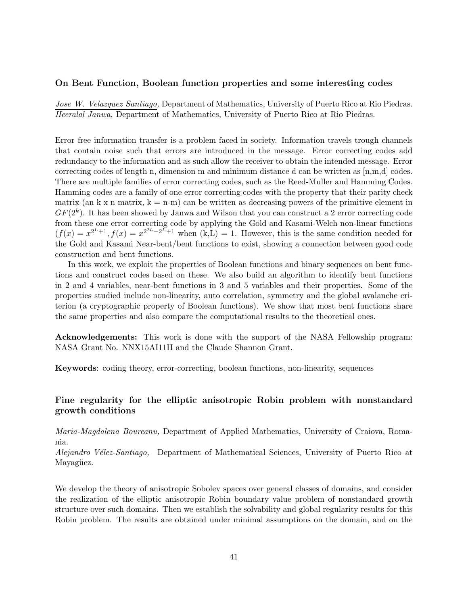#### **On Bent Function, Boolean function properties and some interesting codes**

*Jose W. Velazquez Santiago,* Department of Mathematics, University of Puerto Rico at Rio Piedras. *Heeralal Janwa,* Department of Mathematics, University of Puerto Rico at Rio Piedras.

Error free information transfer is a problem faced in society. Information travels trough channels that contain noise such that errors are introduced in the message. Error correcting codes add redundancy to the information and as such allow the receiver to obtain the intended message. Error correcting codes of length n, dimension m and minimum distance d can be written as [n,m,d] codes. There are multiple families of error correcting codes, such as the Reed-Muller and Hamming Codes. Hamming codes are a family of one error correcting codes with the property that their parity check matrix (an k x n matrix,  $k = n-m$ ) can be written as decreasing powers of the primitive element in *GF*(2*<sup>k</sup>* ). It has been showed by Janwa and Wilson that you can construct a 2 error correcting code from these one error correcting code by applying the Gold and Kasami-Welch non-linear functions  $(f(x) = x^{2^L+1}, f(x) = x^{2^{2L}-2^L+1}$  when  $(k,L) = 1$ . However, this is the same condition needed for the Gold and Kasami Near-bent/bent functions to exist, showing a connection between good code construction and bent functions.

In this work, we exploit the properties of Boolean functions and binary sequences on bent functions and construct codes based on these. We also build an algorithm to identify bent functions in 2 and 4 variables, near-bent functions in 3 and 5 variables and their properties. Some of the properties studied include non-linearity, auto correlation, symmetry and the global avalanche criterion (a cryptographic property of Boolean functions). We show that most bent functions share the same properties and also compare the computational results to the theoretical ones.

**Acknowledgements:** This work is done with the support of the NASA Fellowship program: NASA Grant No. NNX15AI11H and the Claude Shannon Grant.

**Keywords**: coding theory, error-correcting, boolean functions, non-linearity, sequences

### **Fine regularity for the elliptic anisotropic Robin problem with nonstandard growth conditions**

*Maria-Magdalena Boureanu,* Department of Applied Mathematics, University of Craiova, Romania.

*Alejandro Vélez-Santiago,* Department of Mathematical Sciences, University of Puerto Rico at Mayagüez.

We develop the theory of anisotropic Sobolev spaces over general classes of domains, and consider the realization of the elliptic anisotropic Robin boundary value problem of nonstandard growth structure over such domains. Then we establish the solvability and global regularity results for this Robin problem. The results are obtained under minimal assumptions on the domain, and on the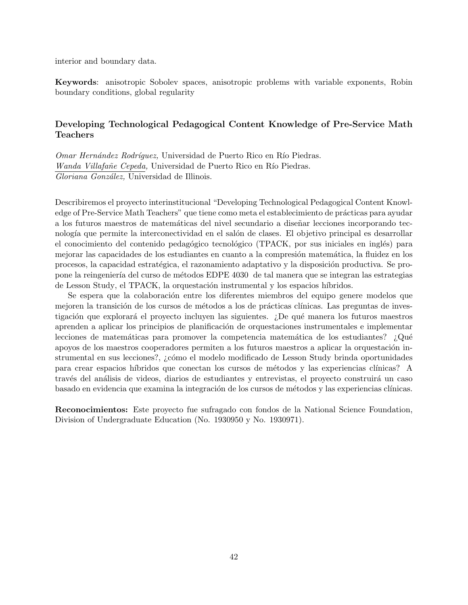interior and boundary data.

**Keywords**: anisotropic Sobolev spaces, anisotropic problems with variable exponents, Robin boundary conditions, global regularity

### **Developing Technological Pedagogical Content Knowledge of Pre-Service Math Teachers**

*Omar Hernández Rodríquez, Universidad de Puerto Rico en Río Piedras. Wanda Villafañe Cepeda,* Universidad de Puerto Rico en Río Piedras. *Gloriana Gonz´alez,* Universidad de Illinois.

Describiremos el proyecto interinstitucional "Developing Technological Pedagogical Content Knowledge of Pre-Service Math Teachers" que tiene como meta el establecimiento de prácticas para ayudar a los futuros maestros de matemáticas del nivel secundario a diseñar lecciones incorporando tecnología que permite la interconectividad en el salón de clases. El objetivo principal es desarrollar el conocimiento del contenido pedagógico tecnológico (TPACK, por sus iniciales en inglés) para mejorar las capacidades de los estudiantes en cuanto a la compresión matemática, la fluidez en los procesos, la capacidad estratégica, el razonamiento adaptativo y la disposición productiva. Se propone la reingeniería del curso de métodos EDPE 4030 de tal manera que se integran las estrategias de Lesson Study, el TPACK, la orquestación instrumental y los espacios híbridos.

Se espera que la colaboración entre los diferentes miembros del equipo genere modelos que mejoren la transición de los cursos de métodos a los de prácticas clínicas. Las preguntas de investigación que explorará el proyecto incluyen las siguientes. ¿De qué manera los futuros maestros aprenden a aplicar los principios de planificación de orquestaciones instrumentales e implementar lecciones de matemáticas para promover la competencia matemática de los estudiantes? ¿Qué apoyos de los maestros cooperadores permiten a los futuros maestros a aplicar la orquestación instrumental en sus lecciones?, ¿cómo el modelo modificado de Lesson Study brinda oportunidades para crear espacios híbridos que conectan los cursos de métodos y las experiencias clínicas? A través del análisis de videos, diarios de estudiantes y entrevistas, el proyecto construirá un caso basado en evidencia que examina la integración de los cursos de métodos y las experiencias clínicas.

**Reconocimientos:** Este proyecto fue sufragado con fondos de la National Science Foundation, Division of Undergraduate Education (No. 1930950 y No. 1930971).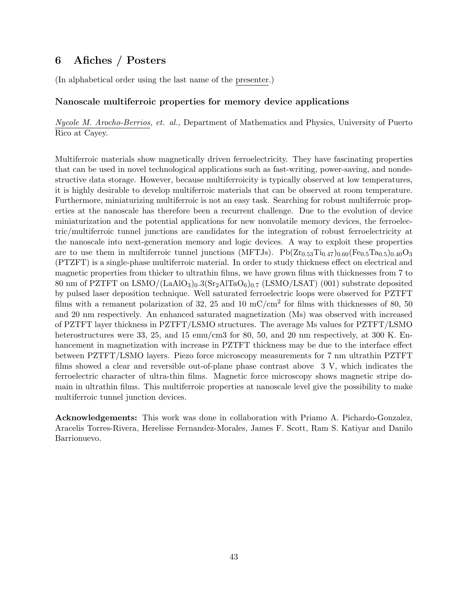# **6 Afiches / Posters**

(In alphabetical order using the last name of the presenter.)

### **Nanoscale multiferroic properties for memory device applications**

*Nycole M. Arocho-Berrios, et. al.,* Department of Mathematics and Physics, University of Puerto Rico at Cayey.

Multiferroic materials show magnetically driven ferroelectricity. They have fascinating properties that can be used in novel technological applications such as fast-writing, power-saving, and nondestructive data storage. However, because multiferroicity is typically observed at low temperatures, it is highly desirable to develop multiferroic materials that can be observed at room temperature. Furthermore, miniaturizing multiferroic is not an easy task. Searching for robust multiferroic properties at the nanoscale has therefore been a recurrent challenge. Due to the evolution of device miniaturization and the potential applications for new nonvolatile memory devices, the ferroelectric/multiferroic tunnel junctions are candidates for the integration of robust ferroelectricity at the nanoscale into next-generation memory and logic devices. A way to exploit these properties are to use them in multiferroic tunnel junctions (MFTJs).  $Pb(Zr_{0.53}Ti_{0.47})_{0.60}(Fe_{0.5}Ta_{0.5})_{0.40}O_3$ (PTZFT) is a single-phase multiferroic material. In order to study thickness effect on electrical and magnetic properties from thicker to ultrathin films, we have grown films with thicknesses from 7 to 80 nm of PZTFT on LSMO/ $(LaAlO<sub>3</sub>)<sub>0</sub>$ .3(Sr<sub>2</sub>AlTaO<sub>6</sub>)<sub>0.7</sub> (LSMO/LSAT) (001) substrate deposited by pulsed laser deposition technique. Well saturated ferroelectric loops were observed for PZTFT films with a remanent polarization of 32, 25 and 10 mC/cm<sup>2</sup> for films with thicknesses of 80, 50 and 20 nm respectively. An enhanced saturated magnetization (Ms) was observed with increased of PZTFT layer thickness in PZTFT/LSMO structures. The average Ms values for PZTFT/LSMO heterostructures were 33, 25, and 15 emu/cm3 for 80, 50, and 20 nm respectively, at 300 K. Enhancement in magnetization with increase in PZTFT thickness may be due to the interface effect between PZTFT/LSMO layers. Piezo force microscopy measurements for 7 nm ultrathin PZTFT films showed a clear and reversible out-of-plane phase contrast above 3 V, which indicates the ferroelectric character of ultra-thin films. Magnetic force microscopy shows magnetic stripe domain in ultrathin films. This multiferroic properties at nanoscale level give the possibility to make multiferroic tunnel junction devices.

**Acknowledgements:** This work was done in collaboration with Priamo A. Pichardo-Gonzalez, Aracelis Torres-Rivera, Herelisse Fernandez-Morales, James F. Scott, Ram S. Katiyar and Danilo Barrionuevo.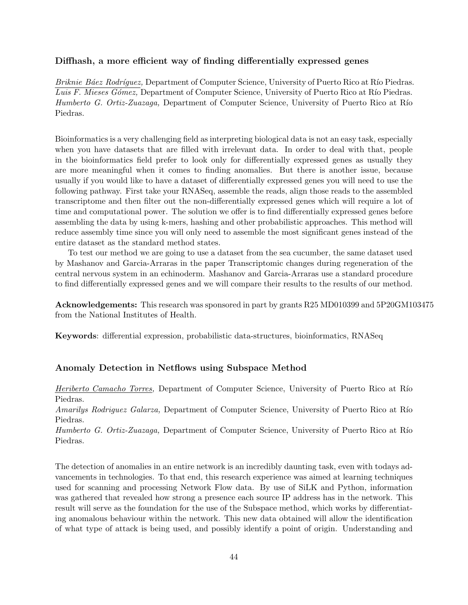### **Diffhash, a more efficient way of finding differentially expressed genes**

*Briknie Báez Rodríquez, Department of Computer Science, University of Puerto Rico at Río Piedras. Luis F. Mieses Gómez, Department of Computer Science, University of Puerto Rico at Río Piedras. Humberto G. Ortiz-Zuazaga*, Department of Computer Science, University of Puerto Rico at Río Piedras.

Bioinformatics is a very challenging field as interpreting biological data is not an easy task, especially when you have datasets that are filled with irrelevant data. In order to deal with that, people in the bioinformatics field prefer to look only for differentially expressed genes as usually they are more meaningful when it comes to finding anomalies. But there is another issue, because usually if you would like to have a dataset of differentially expressed genes you will need to use the following pathway. First take your RNASeq, assemble the reads, align those reads to the assembled transcriptome and then filter out the non-differentially expressed genes which will require a lot of time and computational power. The solution we offer is to find differentially expressed genes before assembling the data by using k-mers, hashing and other probabilistic approaches. This method will reduce assembly time since you will only need to assemble the most significant genes instead of the entire dataset as the standard method states.

To test our method we are going to use a dataset from the sea cucumber, the same dataset used by Mashanov and Garcia-Arraras in the paper Transcriptomic changes during regeneration of the central nervous system in an echinoderm. Mashanov and Garcia-Arraras use a standard procedure to find differentially expressed genes and we will compare their results to the results of our method.

**Acknowledgements:** This research was sponsored in part by grants R25 MD010399 and 5P20GM103475 from the National Institutes of Health.

**Keywords**: differential expression, probabilistic data-structures, bioinformatics, RNASeq

#### **Anomaly Detection in Netflows using Subspace Method**

*Heriberto Camacho Torres,* Department of Computer Science, University of Puerto Rico at Río Piedras.

*Amarilys Rodriguez Galarza, Department of Computer Science, University of Puerto Rico at Río* Piedras.

*Humberto G. Ortiz-Zuazaga,* Department of Computer Science, University of Puerto Rico at Río Piedras.

The detection of anomalies in an entire network is an incredibly daunting task, even with todays advancements in technologies. To that end, this research experience was aimed at learning techniques used for scanning and processing Network Flow data. By use of SiLK and Python, information was gathered that revealed how strong a presence each source IP address has in the network. This result will serve as the foundation for the use of the Subspace method, which works by differentiating anomalous behaviour within the network. This new data obtained will allow the identification of what type of attack is being used, and possibly identify a point of origin. Understanding and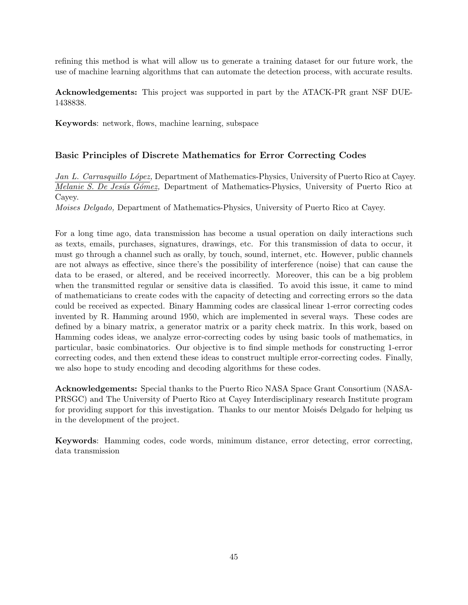refining this method is what will allow us to generate a training dataset for our future work, the use of machine learning algorithms that can automate the detection process, with accurate results.

**Acknowledgements:** This project was supported in part by the ATACK-PR grant NSF DUE-1438838.

**Keywords**: network, flows, machine learning, subspace

### **Basic Principles of Discrete Mathematics for Error Correcting Codes**

*Jan L. Carrasquillo L´opez,* Department of Mathematics-Physics, University of Puerto Rico at Cayey. *Melanie S. De Jesús Gómez*, Department of Mathematics-Physics, University of Puerto Rico at Cayey.

*Moises Delgado,* Department of Mathematics-Physics, University of Puerto Rico at Cayey.

For a long time ago, data transmission has become a usual operation on daily interactions such as texts, emails, purchases, signatures, drawings, etc. For this transmission of data to occur, it must go through a channel such as orally, by touch, sound, internet, etc. However, public channels are not always as effective, since there's the possibility of interference (noise) that can cause the data to be erased, or altered, and be received incorrectly. Moreover, this can be a big problem when the transmitted regular or sensitive data is classified. To avoid this issue, it came to mind of mathematicians to create codes with the capacity of detecting and correcting errors so the data could be received as expected. Binary Hamming codes are classical linear 1-error correcting codes invented by R. Hamming around 1950, which are implemented in several ways. These codes are defined by a binary matrix, a generator matrix or a parity check matrix. In this work, based on Hamming codes ideas, we analyze error-correcting codes by using basic tools of mathematics, in particular, basic combinatorics. Our objective is to find simple methods for constructing 1-error correcting codes, and then extend these ideas to construct multiple error-correcting codes. Finally, we also hope to study encoding and decoding algorithms for these codes.

**Acknowledgements:** Special thanks to the Puerto Rico NASA Space Grant Consortium (NASA-PRSGC) and The University of Puerto Rico at Cayey Interdisciplinary research Institute program for providing support for this investigation. Thanks to our mentor Moisés Delgado for helping us in the development of the project.

**Keywords**: Hamming codes, code words, minimum distance, error detecting, error correcting, data transmission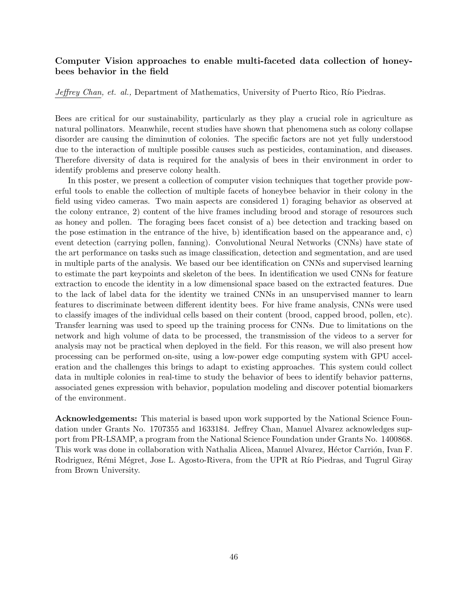### **Computer Vision approaches to enable multi-faceted data collection of honeybees behavior in the field**

*Jeffrey Chan, et. al., Department of Mathematics, University of Puerto Rico, Río Piedras.* 

Bees are critical for our sustainability, particularly as they play a crucial role in agriculture as natural pollinators. Meanwhile, recent studies have shown that phenomena such as colony collapse disorder are causing the diminution of colonies. The specific factors are not yet fully understood due to the interaction of multiple possible causes such as pesticides, contamination, and diseases. Therefore diversity of data is required for the analysis of bees in their environment in order to identify problems and preserve colony health.

In this poster, we present a collection of computer vision techniques that together provide powerful tools to enable the collection of multiple facets of honeybee behavior in their colony in the field using video cameras. Two main aspects are considered 1) foraging behavior as observed at the colony entrance, 2) content of the hive frames including brood and storage of resources such as honey and pollen. The foraging bees facet consist of a) bee detection and tracking based on the pose estimation in the entrance of the hive, b) identification based on the appearance and, c) event detection (carrying pollen, fanning). Convolutional Neural Networks (CNNs) have state of the art performance on tasks such as image classification, detection and segmentation, and are used in multiple parts of the analysis. We based our bee identification on CNNs and supervised learning to estimate the part keypoints and skeleton of the bees. In identification we used CNNs for feature extraction to encode the identity in a low dimensional space based on the extracted features. Due to the lack of label data for the identity we trained CNNs in an unsupervised manner to learn features to discriminate between different identity bees. For hive frame analysis, CNNs were used to classify images of the individual cells based on their content (brood, capped brood, pollen, etc). Transfer learning was used to speed up the training process for CNNs. Due to limitations on the network and high volume of data to be processed, the transmission of the videos to a server for analysis may not be practical when deployed in the field. For this reason, we will also present how processing can be performed on-site, using a low-power edge computing system with GPU acceleration and the challenges this brings to adapt to existing approaches. This system could collect data in multiple colonies in real-time to study the behavior of bees to identify behavior patterns, associated genes expression with behavior, population modeling and discover potential biomarkers of the environment.

**Acknowledgements:** This material is based upon work supported by the National Science Foundation under Grants No. 1707355 and 1633184. Jeffrey Chan, Manuel Alvarez acknowledges support from PR-LSAMP, a program from the National Science Foundation under Grants No. 1400868. This work was done in collaboration with Nathalia Alicea, Manuel Alvarez, Héctor Carrión, Ivan F. Rodriguez, Rémi Mégret, Jose L. Agosto-Rivera, from the UPR at Río Piedras, and Tugrul Giray from Brown University.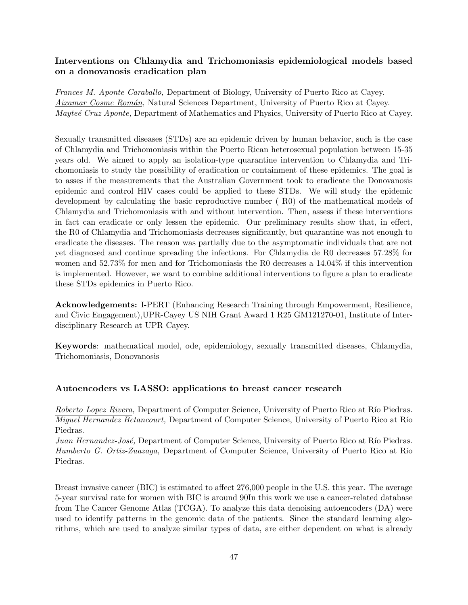### **Interventions on Chlamydia and Trichomoniasis epidemiological models based on a donovanosis eradication plan**

*Frances M. Aponte Caraballo,* Department of Biology, University of Puerto Rico at Cayey. *Aixamar Cosme Rom´an,* Natural Sciences Department, University of Puerto Rico at Cayey. *Mayte´e Cruz Aponte,* Department of Mathematics and Physics, University of Puerto Rico at Cayey.

Sexually transmitted diseases (STDs) are an epidemic driven by human behavior, such is the case of Chlamydia and Trichomoniasis within the Puerto Rican heterosexual population between 15-35 years old. We aimed to apply an isolation-type quarantine intervention to Chlamydia and Trichomoniasis to study the possibility of eradication or containment of these epidemics. The goal is to asses if the measurements that the Australian Government took to eradicate the Donovanosis epidemic and control HIV cases could be applied to these STDs. We will study the epidemic development by calculating the basic reproductive number ( R0) of the mathematical models of Chlamydia and Trichomoniasis with and without intervention. Then, assess if these interventions in fact can eradicate or only lessen the epidemic. Our preliminary results show that, in effect, the R0 of Chlamydia and Trichomoniasis decreases significantly, but quarantine was not enough to eradicate the diseases. The reason was partially due to the asymptomatic individuals that are not yet diagnosed and continue spreading the infections. For Chlamydia de R0 decreases 57.28% for women and 52.73% for men and for Trichomoniasis the R0 decreases a 14.04% if this intervention is implemented. However, we want to combine additional interventions to figure a plan to eradicate these STDs epidemics in Puerto Rico.

**Acknowledgements:** I-PERT (Enhancing Research Training through Empowerment, Resilience, and Civic Engagement),UPR-Cayey US NIH Grant Award 1 R25 GM121270-01, Institute of Interdisciplinary Research at UPR Cayey.

**Keywords**: mathematical model, ode, epidemiology, sexually transmitted diseases, Chlamydia, Trichomoniasis, Donovanosis

#### **Autoencoders vs LASSO: applications to breast cancer research**

*Roberto Lopez Rivera, Department of Computer Science, University of Puerto Rico at Río Piedras. Miguel Hernandez Betancourt, Department of Computer Science, University of Puerto Rico at Río* Piedras.

*Juan Hernandez-José,* Department of Computer Science, University of Puerto Rico at Río Piedras. *Humberto G. Ortiz-Zuazaga*, Department of Computer Science, University of Puerto Rico at Río Piedras.

Breast invasive cancer (BIC) is estimated to affect 276,000 people in the U.S. this year. The average 5-year survival rate for women with BIC is around 90In this work we use a cancer-related database from The Cancer Genome Atlas (TCGA). To analyze this data denoising autoencoders (DA) were used to identify patterns in the genomic data of the patients. Since the standard learning algorithms, which are used to analyze similar types of data, are either dependent on what is already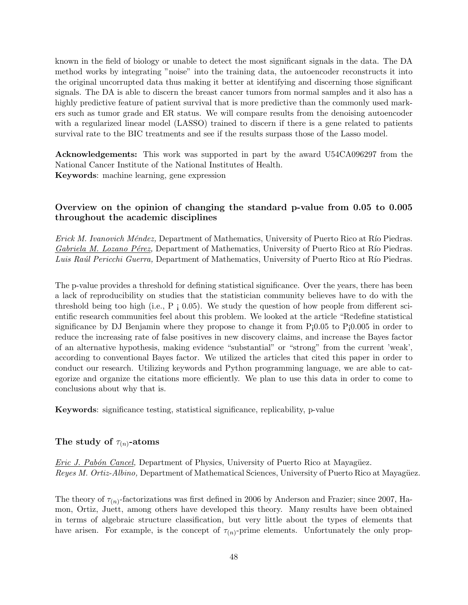known in the field of biology or unable to detect the most significant signals in the data. The DA method works by integrating "noise" into the training data, the autoencoder reconstructs it into the original uncorrupted data thus making it better at identifying and discerning those significant signals. The DA is able to discern the breast cancer tumors from normal samples and it also has a highly predictive feature of patient survival that is more predictive than the commonly used markers such as tumor grade and ER status. We will compare results from the denoising autoencoder with a regularized linear model (LASSO) trained to discern if there is a gene related to patients survival rate to the BIC treatments and see if the results surpass those of the Lasso model.

**Acknowledgements:** This work was supported in part by the award U54CA096297 from the National Cancer Institute of the National Institutes of Health. **Keywords**: machine learning, gene expression

### **Overview on the opinion of changing the standard p-value from 0.05 to 0.005 throughout the academic disciplines**

*Erick M. Ivanovich Méndez, Department of Mathematics, University of Puerto Rico at Río Piedras. Gabriela M. Lozano Pérez, Department of Mathematics, University of Puerto Rico at Río Piedras. Luis Raúl Pericchi Guerra*, Department of Mathematics, University of Puerto Rico at Río Piedras.

The p-value provides a threshold for defining statistical significance. Over the years, there has been a lack of reproducibility on studies that the statistician community believes have to do with the threshold being too high (i.e.,  $P_i$  0.05). We study the question of how people from different scientific research communities feel about this problem. We looked at the article "Redefine statistical significance by DJ Benjamin where they propose to change it from  $P_10.05$  to  $P_10.005$  in order to reduce the increasing rate of false positives in new discovery claims, and increase the Bayes factor of an alternative hypothesis, making evidence "substantial" or "strong" from the current 'weak', according to conventional Bayes factor. We utilized the articles that cited this paper in order to conduct our research. Utilizing keywords and Python programming language, we are able to categorize and organize the citations more efficiently. We plan to use this data in order to come to conclusions about why that is.

**Keywords**: significance testing, statistical significance, replicability, p-value

#### The study of  $\tau_{(n)}$ -atoms

*Eric J. Pabón Cancel,* Department of Physics, University of Puerto Rico at Mayagüez. *Reyes M. Ortiz-Albino*, Department of Mathematical Sciences, University of Puerto Rico at Mayagüez.

The theory of  $\tau_{(n)}$ -factorizations was first defined in 2006 by Anderson and Frazier; since 2007, Hamon, Ortiz, Juett, among others have developed this theory. Many results have been obtained in terms of algebraic structure classification, but very little about the types of elements that have arisen. For example, is the concept of  $\tau_{(n)}$ -prime elements. Unfortunately the only prop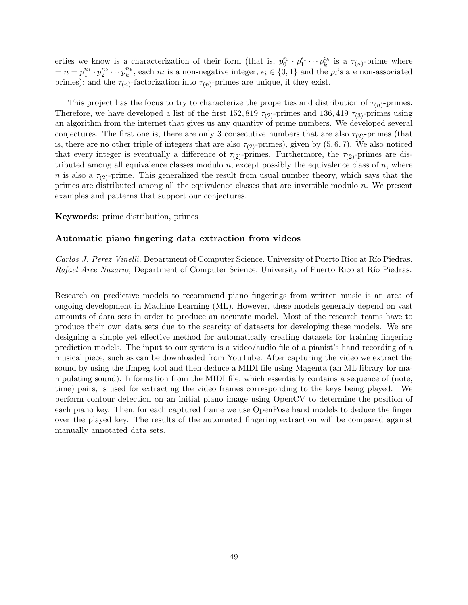erties we know is a characterization of their form (that is,  $p_0^{\epsilon_0} \cdot p_1^{\epsilon_1} \cdots p_k^{\epsilon_k}$  is a  $\tau_{(n)}$ -prime where  $n = n = p_1^{n_1} \cdot p_2^{n_2} \cdots p_k^{n_k}$ , each  $n_i$  is a non-negative integer,  $\epsilon_i \in \{0, 1\}$  and the  $p_i$ 's are non-associated primes); and the  $\tau_{(n)}$ -factorization into  $\tau_{(n)}$ -primes are unique, if they exist.

This project has the focus to try to characterize the properties and distribution of  $\tau_{(n)}$ -primes. Therefore, we have developed a list of the first 152, 819  $\tau_{(2)}$ -primes and 136, 419  $\tau_{(3)}$ -primes using an algorithm from the internet that gives us any quantity of prime numbers. We developed several conjectures. The first one is, there are only 3 consecutive numbers that are also  $\tau_{(2)}$ -primes (that is, there are no other triple of integers that are also  $\tau_{(2)}$ -primes), given by  $(5,6,7)$ . We also noticed that every integer is eventually a difference of  $\tau_{(2)}$ -primes. Furthermore, the  $\tau_{(2)}$ -primes are distributed among all equivalence classes modulo  $n$ , except possibly the equivalence class of  $n$ , where *n* is also a  $\tau_{(2)}$ -prime. This generalized the result from usual number theory, which says that the primes are distributed among all the equivalence classes that are invertible modulo *n*. We present examples and patterns that support our conjectures.

#### **Keywords**: prime distribution, primes

#### **Automatic piano fingering data extraction from videos**

*Carlos J. Perez Vinelli, Department of Computer Science, University of Puerto Rico at Río Piedras. Rafael Arce Nazario,* Department of Computer Science, University of Puerto Rico at Río Piedras.

Research on predictive models to recommend piano fingerings from written music is an area of ongoing development in Machine Learning (ML). However, these models generally depend on vast amounts of data sets in order to produce an accurate model. Most of the research teams have to produce their own data sets due to the scarcity of datasets for developing these models. We are designing a simple yet effective method for automatically creating datasets for training fingering prediction models. The input to our system is a video/audio file of a pianist's hand recording of a musical piece, such as can be downloaded from YouTube. After capturing the video we extract the sound by using the ffmpeg tool and then deduce a MIDI file using Magenta (an ML library for manipulating sound). Information from the MIDI file, which essentially contains a sequence of (note, time) pairs, is used for extracting the video frames corresponding to the keys being played. We perform contour detection on an initial piano image using OpenCV to determine the position of each piano key. Then, for each captured frame we use OpenPose hand models to deduce the finger over the played key. The results of the automated fingering extraction will be compared against manually annotated data sets.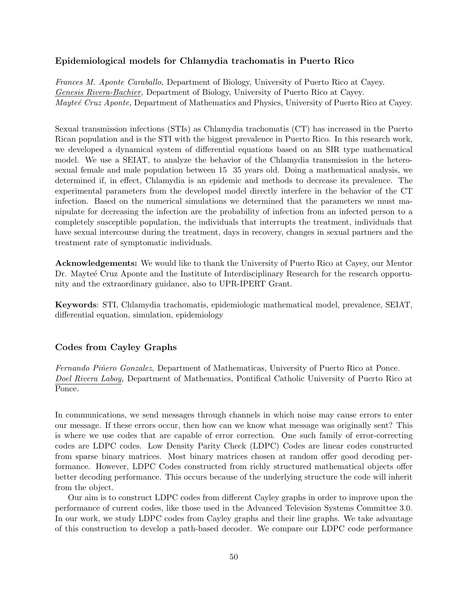### **Epidemiological models for Chlamydia trachomatis in Puerto Rico**

*Frances M. Aponte Caraballo,* Department of Biology, University of Puerto Rico at Cayey. *Genesis Rivera-Bachier,* Department of Biology, University of Puerto Rico at Cayey. *Mayte´e Cruz Aponte,* Department of Mathematics and Physics, University of Puerto Rico at Cayey.

Sexual transmission infections (STIs) as Chlamydia trachomatis (CT) has increased in the Puerto Rican population and is the STI with the biggest prevalence in Puerto Rico. In this research work, we developed a dynamical system of differential equations based on an SIR type mathematical model. We use a SEIAT, to analyze the behavior of the Chlamydia transmission in the heterosexual female and male population between 15 35 years old. Doing a mathematical analysis, we determined if, in effect, Chlamydia is an epidemic and methods to decrease its prevalence. The experimental parameters from the developed model directly interfere in the behavior of the CT infection. Based on the numerical simulations we determined that the parameters we must manipulate for decreasing the infection are the probability of infection from an infected person to a completely susceptible population, the individuals that interrupts the treatment, individuals that have sexual intercourse during the treatment, days in recovery, changes in sexual partners and the treatment rate of symptomatic individuals.

**Acknowledgements:** We would like to thank the University of Puerto Rico at Cayey, our Mentor Dr. Maytee Cruz Aponte and the Institute of Interdisciplinary Research for the research opportunity and the extraordinary guidance, also to UPR-IPERT Grant.

**Keywords**: STI, Chlamydia trachomatis, epidemiologic mathematical model, prevalence, SEIAT, differential equation, simulation, epidemiology

### **Codes from Cayley Graphs**

*Fernando Piñero Gonzalez,* Department of Mathematicas, University of Puerto Rico at Ponce. *Doel Rivera Laboy,* Department of Mathematics, Pontifical Catholic University of Puerto Rico at Ponce.

In communications, we send messages through channels in which noise may cause errors to enter our message. If these errors occur, then how can we know what message was originally sent? This is where we use codes that are capable of error correction. One such family of error-correcting codes are LDPC codes. Low Density Parity Check (LDPC) Codes are linear codes constructed from sparse binary matrices. Most binary matrices chosen at random offer good decoding performance. However, LDPC Codes constructed from richly structured mathematical objects offer better decoding performance. This occurs because of the underlying structure the code will inherit from the object.

Our aim is to construct LDPC codes from different Cayley graphs in order to improve upon the performance of current codes, like those used in the Advanced Television Systems Committee 3.0. In our work, we study LDPC codes from Cayley graphs and their line graphs. We take advantage of this construction to develop a path-based decoder. We compare our LDPC code performance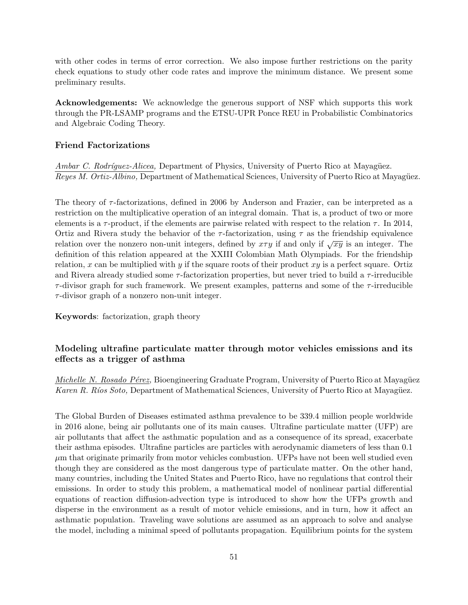with other codes in terms of error correction. We also impose further restrictions on the parity check equations to study other code rates and improve the minimum distance. We present some preliminary results.

**Acknowledgements:** We acknowledge the generous support of NSF which supports this work through the PR-LSAMP programs and the ETSU-UPR Ponce REU in Probabilistic Combinatorics and Algebraic Coding Theory.

#### **Friend Factorizations**

*Ambar C. Rodríquez-Alicea,* Department of Physics, University of Puerto Rico at Mayagüez. *Reyes M. Ortiz-Albino, Department of Mathematical Sciences, University of Puerto Rico at Mayagüez.* 

The theory of *τ* -factorizations, defined in 2006 by Anderson and Frazier, can be interpreted as a restriction on the multiplicative operation of an integral domain. That is, a product of two or more elements is a  $\tau$ -product, if the elements are pairwise related with respect to the relation  $\tau$ . In 2014, Ortiz and Rivera study the behavior of the  $\tau$ -factorization, using  $\tau$  as the friendship equivalence relation over the nonzero non-unit integers, defined by  $x \tau y$  if and only if  $\sqrt{xy}$  is an integer. The definition of this relation appeared at the XXIII Colombian Math Olympiads. For the friendship relation, *x* can be multiplied with *y* if the square roots of their product *xy* is a perfect square. Ortiz and Rivera already studied some *τ* -factorization properties, but never tried to build a *τ* -irreducible *τ* -divisor graph for such framework. We present examples, patterns and some of the *τ* -irreducible *τ* -divisor graph of a nonzero non-unit integer.

**Keywords**: factorization, graph theory

### **Modeling ultrafine particulate matter through motor vehicles emissions and its effects as a trigger of asthma**

*Michelle N. Rosado Pérez,* Bioengineering Graduate Program, University of Puerto Rico at Mayagüez *Karen R. Ríos Soto,* Department of Mathematical Sciences, University of Puerto Rico at Mayagüez.

The Global Burden of Diseases estimated asthma prevalence to be 339.4 million people worldwide in 2016 alone, being air pollutants one of its main causes. Ultrafine particulate matter (UFP) are air pollutants that affect the asthmatic population and as a consequence of its spread, exacerbate their asthma episodes. Ultrafine particles are particles with aerodynamic diameters of less than 0.1  $\mu$ m that originate primarily from motor vehicles combustion. UFPs have not been well studied even though they are considered as the most dangerous type of particulate matter. On the other hand, many countries, including the United States and Puerto Rico, have no regulations that control their emissions. In order to study this problem, a mathematical model of nonlinear partial differential equations of reaction diffusion-advection type is introduced to show how the UFPs growth and disperse in the environment as a result of motor vehicle emissions, and in turn, how it affect an asthmatic population. Traveling wave solutions are assumed as an approach to solve and analyse the model, including a minimal speed of pollutants propagation. Equilibrium points for the system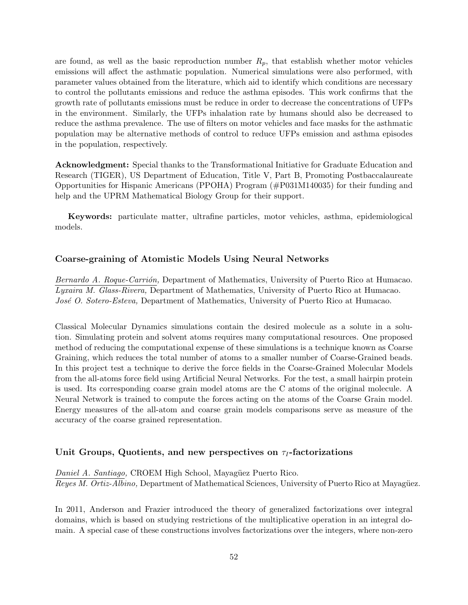are found, as well as the basic reproduction number  $R_p$ , that establish whether motor vehicles emissions will affect the asthmatic population. Numerical simulations were also performed, with parameter values obtained from the literature, which aid to identify which conditions are necessary to control the pollutants emissions and reduce the asthma episodes. This work confirms that the growth rate of pollutants emissions must be reduce in order to decrease the concentrations of UFPs in the environment. Similarly, the UFPs inhalation rate by humans should also be decreased to reduce the asthma prevalence. The use of filters on motor vehicles and face masks for the asthmatic population may be alternative methods of control to reduce UFPs emission and asthma episodes in the population, respectively.

**Acknowledgment:** Special thanks to the Transformational Initiative for Graduate Education and Research (TIGER), US Department of Education, Title V, Part B, Promoting Postbaccalaureate Opportunities for Hispanic Americans (PPOHA) Program (#P031M140035) for their funding and help and the UPRM Mathematical Biology Group for their support.

**Keywords:** particulate matter, ultrafine particles, motor vehicles, asthma, epidemiological models.

#### **Coarse-graining of Atomistic Models Using Neural Networks**

*Bernardo A. Roque-Carri´on,* Department of Mathematics, University of Puerto Rico at Humacao. *Lyxaira M. Glass-Rivera,* Department of Mathematics, University of Puerto Rico at Humacao. *José O. Sotero-Esteva,* Department of Mathematics, University of Puerto Rico at Humacao.

Classical Molecular Dynamics simulations contain the desired molecule as a solute in a solution. Simulating protein and solvent atoms requires many computational resources. One proposed method of reducing the computational expense of these simulations is a technique known as Coarse Graining, which reduces the total number of atoms to a smaller number of Coarse-Grained beads. In this project test a technique to derive the force fields in the Coarse-Grained Molecular Models from the all-atoms force field using Artificial Neural Networks. For the test, a small hairpin protein is used. Its corresponding coarse grain model atoms are the C atoms of the original molecule. A Neural Network is trained to compute the forces acting on the atoms of the Coarse Grain model. Energy measures of the all-atom and coarse grain models comparisons serve as measure of the accuracy of the coarse grained representation.

#### Unit Groups, Quotients, and new perspectives on  $\tau$ <sup>*I*</sup> **-factorizations**

*Daniel A. Santiago,* CROEM High School, Mayagüez Puerto Rico. *Reyes M. Ortiz-Albino*, Department of Mathematical Sciences, University of Puerto Rico at Mayagüez.

In 2011, Anderson and Frazier introduced the theory of generalized factorizations over integral domains, which is based on studying restrictions of the multiplicative operation in an integral domain. A special case of these constructions involves factorizations over the integers, where non-zero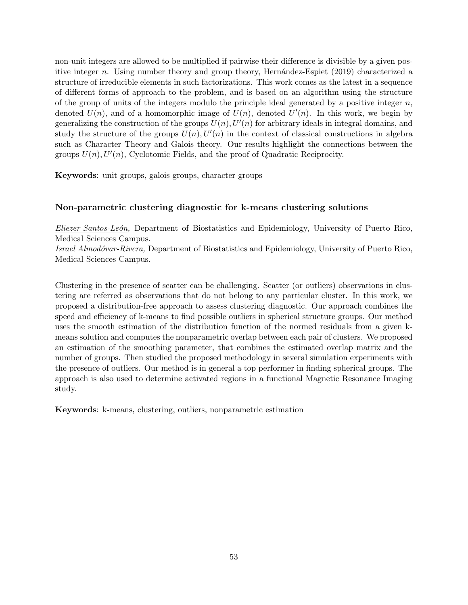non-unit integers are allowed to be multiplied if pairwise their difference is divisible by a given positive integer *n*. Using number theory and group theory, Hernández-Espiet (2019) characterized a structure of irreducible elements in such factorizations. This work comes as the latest in a sequence of different forms of approach to the problem, and is based on an algorithm using the structure of the group of units of the integers modulo the principle ideal generated by a positive integer *n*, denoted  $U(n)$ , and of a homomorphic image of  $U(n)$ , denoted  $U'(n)$ . In this work, we begin by generalizing the construction of the groups  $U(n)$ ,  $U'(n)$  for arbitrary ideals in integral domains, and study the structure of the groups  $U(n)$ ,  $U'(n)$  in the context of classical constructions in algebra such as Character Theory and Galois theory. Our results highlight the connections between the groups *U*(*n*)*, U′* (*n*), Cyclotomic Fields, and the proof of Quadratic Reciprocity.

**Keywords**: unit groups, galois groups, character groups

### **Non-parametric clustering diagnostic for k-means clustering solutions**

*Eliezer Santos-Le´on,* Department of Biostatistics and Epidemiology, University of Puerto Rico, Medical Sciences Campus.

*Israel Almod´ovar-Rivera,* Department of Biostatistics and Epidemiology, University of Puerto Rico, Medical Sciences Campus.

Clustering in the presence of scatter can be challenging. Scatter (or outliers) observations in clustering are referred as observations that do not belong to any particular cluster. In this work, we proposed a distribution-free approach to assess clustering diagnostic. Our approach combines the speed and efficiency of k-means to find possible outliers in spherical structure groups. Our method uses the smooth estimation of the distribution function of the normed residuals from a given kmeans solution and computes the nonparametric overlap between each pair of clusters. We proposed an estimation of the smoothing parameter, that combines the estimated overlap matrix and the number of groups. Then studied the proposed methodology in several simulation experiments with the presence of outliers. Our method is in general a top performer in finding spherical groups. The approach is also used to determine activated regions in a functional Magnetic Resonance Imaging study.

**Keywords**: k-means, clustering, outliers, nonparametric estimation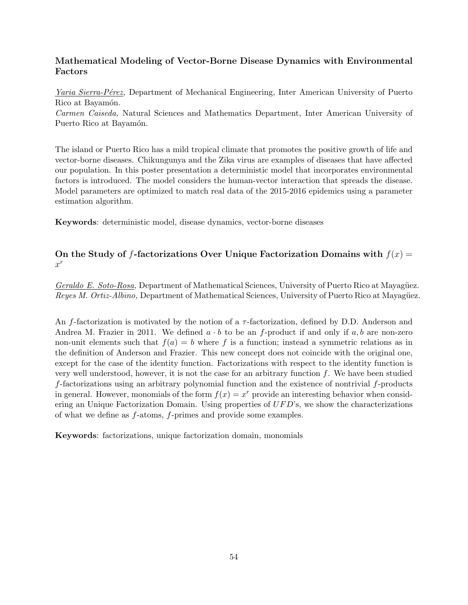## **Mathematical Modeling of Vector-Borne Disease Dynamics with Environmental Factors**

*Yaria Sierra-Pérez*, Department of Mechanical Engineering, Inter American University of Puerto Rico at Bayamón.

*Carmen Caiseda,* Natural Sciences and Mathematics Department, Inter American University of Puerto Rico at Bayamón.

The island or Puerto Rico has a mild tropical climate that promotes the positive growth of life and vector-borne diseases. Chikungunya and the Zika virus are examples of diseases that have affected our population. In this poster presentation a deterministic model that incorporates environmental factors is introduced. The model considers the human-vector interaction that spreads the disease. Model parameters are optimized to match real data of the 2015-2016 epidemics using a parameter estimation algorithm.

**Keywords**: deterministic model, disease dynamics, vector-borne diseases

### On the Study of *f*-factorizations Over Unique Factorization Domains with  $f(x) =$ *x r*

*Geraldo E. Soto-Rosa*, Department of Mathematical Sciences, University of Puerto Rico at Mayagüez. *Reyes M. Ortiz-Albino,* Department of Mathematical Sciences, University of Puerto Rico at Mayagüez.

An *f*-factorization is motivated by the notion of a *τ* -factorization, defined by D.D. Anderson and Andrea M. Frazier in 2011. We defined  $a \cdot b$  to be an *f*-product if and only if  $a, b$  are non-zero non-unit elements such that  $f(a) = b$  where f is a function; instead a symmetric relations as in the definition of Anderson and Frazier. This new concept does not coincide with the original one, except for the case of the identity function. Factorizations with respect to the identity function is very well understood, however, it is not the case for an arbitrary function *f*. We have been studied *f*-factorizations using an arbitrary polynomial function and the existence of nontrivial *f*-products in general. However, monomials of the form  $f(x) = x^r$  provide an interesting behavior when considering an Unique Factorization Domain. Using properties of *UF D*'s, we show the characterizations of what we define as *f*-atoms, *f*-primes and provide some examples.

**Keywords**: factorizations, unique factorization domain, monomials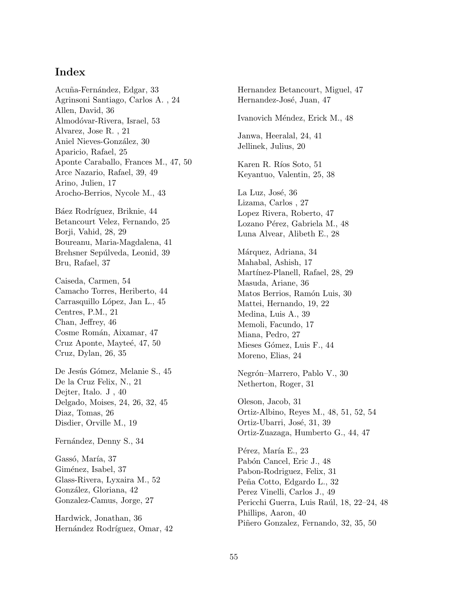# **Index**

Acuña-Fernández, Edgar, 33 Agrinsoni Santiago, Carlos A. , 24 Allen, David, 36 Almodóvar-Rivera, Israel, 53 Alvarez, Jose R. , 21 Aniel Nieves-González, 30 Aparicio, Rafael, 25 Aponte Caraballo, Frances M., 47, 50 Arce Nazario, Rafael, 39, 49 Arino, Julien, 17 Arocho-Berrios, Nycole M., 43

Báez Rodríguez, Briknie, 44 Betancourt Velez, Fernando, 25 Borji, Vahid, 28, 29 Boureanu, Maria-Magdalena, 41 Brehsner Sepúlveda, Leonid, 39 Bru, Rafael, 37

Caiseda, Carmen, 54 Camacho Torres, Heriberto, 44 Carrasquillo López, Jan L., 45 Centres, P.M., 21 Chan, Jeffrey, 46 Cosme Román, Aixamar, 47 Cruz Aponte, Mayteé, 47, 50 Cruz, Dylan, 26, 35

De Jesús Gómez, Melanie S., 45 De la Cruz Felix, N., 21 Dejter, Italo. J , 40 Delgado, Moises, 24, 26, 32, 45 Diaz, Tomas, 26 Disdier, Orville M., 19

Fernández, Denny S., 34

Gassó, María, 37 Giménez, Isabel, 37 Glass-Rivera, Lyxaira M., 52 González, Gloriana, 42 Gonzalez-Camus, Jorge, 27

Hardwick, Jonathan, 36 Hernández Rodríguez, Omar, 42 Hernandez Betancourt, Miguel, 47 Hernandez-José, Juan, 47 Ivanovich Méndez, Erick M., 48 Janwa, Heeralal, 24, 41 Jellinek, Julius, 20 Karen R. Ríos Soto, 51 Keyantuo, Valentin, 25, 38 La Luz, José, 36 Lizama, Carlos , 27 Lopez Rivera, Roberto, 47 Lozano Pérez, Gabriela M., 48 Luna Alvear, Alibeth E., 28 Márquez, Adriana, 34 Mahabal, Ashish, 17 Martínez-Planell, Rafael, 28, 29 Masuda, Ariane, 36 Matos Berrios, Ramón Luis, 30 Mattei, Hernando, 19, 22 Medina, Luis A., 39 Memoli, Facundo, 17 Miana, Pedro, 27 Mieses Gómez, Luis F., 44 Moreno, Elias, 24 Negrón–Marrero, Pablo V., 30 Netherton, Roger, 31 Oleson, Jacob, 31 Ortiz-Albino, Reyes M., 48, 51, 52, 54 Ortiz-Ubarri, José, 31, 39 Ortiz-Zuazaga, Humberto G., 44, 47 Pérez, María E., 23

Pabón Cancel, Eric J., 48 Pabon-Rodriguez, Felix, 31 Peña Cotto, Edgardo L., 32 Perez Vinelli, Carlos J., 49 Pericchi Guerra, Luis Raúl, 18, 22–24, 48 Phillips, Aaron, 40 Piñero Gonzalez, Fernando, 32, 35, 50